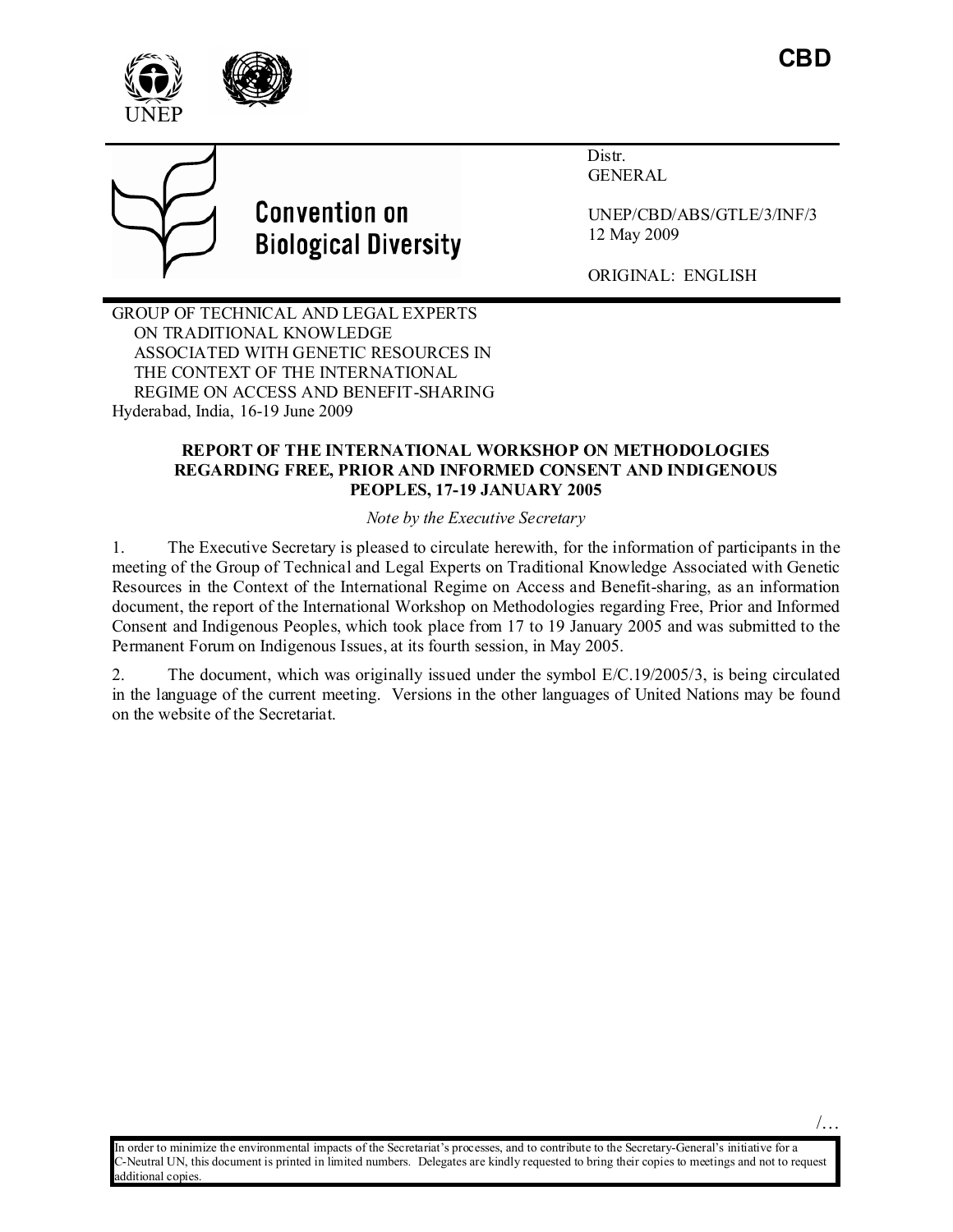/…







# **Convention on Biological Diversity**

 Distr. GENERAL

UNEP/CBD/ABS/GTLE/3/INF/3 12 May 2009

ORIGINAL: ENGLISH

GROUP OF TECHNICAL AND LEGAL EXPERTS ON TRADITIONAL KNOWLEDGE ASSOCIATED WITH GENETIC RESOURCES IN THE CONTEXT OF THE INTERNATIONAL REGIME ON ACCESS AND BENEFIT-SHARING Hyderabad, India, 16-19 June 2009

## **REPORT OF THE I TER ATIO AL WORKSHOP O METHODOLOGIES REGARDING FREE, PRIOR AND INFORMED CONSENT AND INDIGENOUS PEOPLES, 17-19 JA UARY 2005**

*Note by the Executive Secretary* 

1. The Executive Secretary is pleased to circulate herewith, for the information of participants in the meeting of the Group of Technical and Legal Experts on Traditional Knowledge Associated with Genetic Resources in the Context of the International Regime on Access and Benefit-sharing, as an information document, the report of the International Workshop on Methodologies regarding Free, Prior and Informed Consent and Indigenous Peoples, which took place from 17 to 19 January 2005 and was submitted to the Permanent Forum on Indigenous Issues, at its fourth session, in May 2005.

2. The document, which was originally issued under the symbol E/C.19/2005/3, is being circulated in the language of the current meeting. Versions in the other languages of United Nations may be found on the website of the Secretariat.

In order to minimize the environmental impacts of the Secretariat's processes, and to contribute to the Secretary-General's initiative for a C-Neutral UN, this document is printed in limited numbers. Delegates are kindly requested to bring their copies to meetings and not to request additional copies.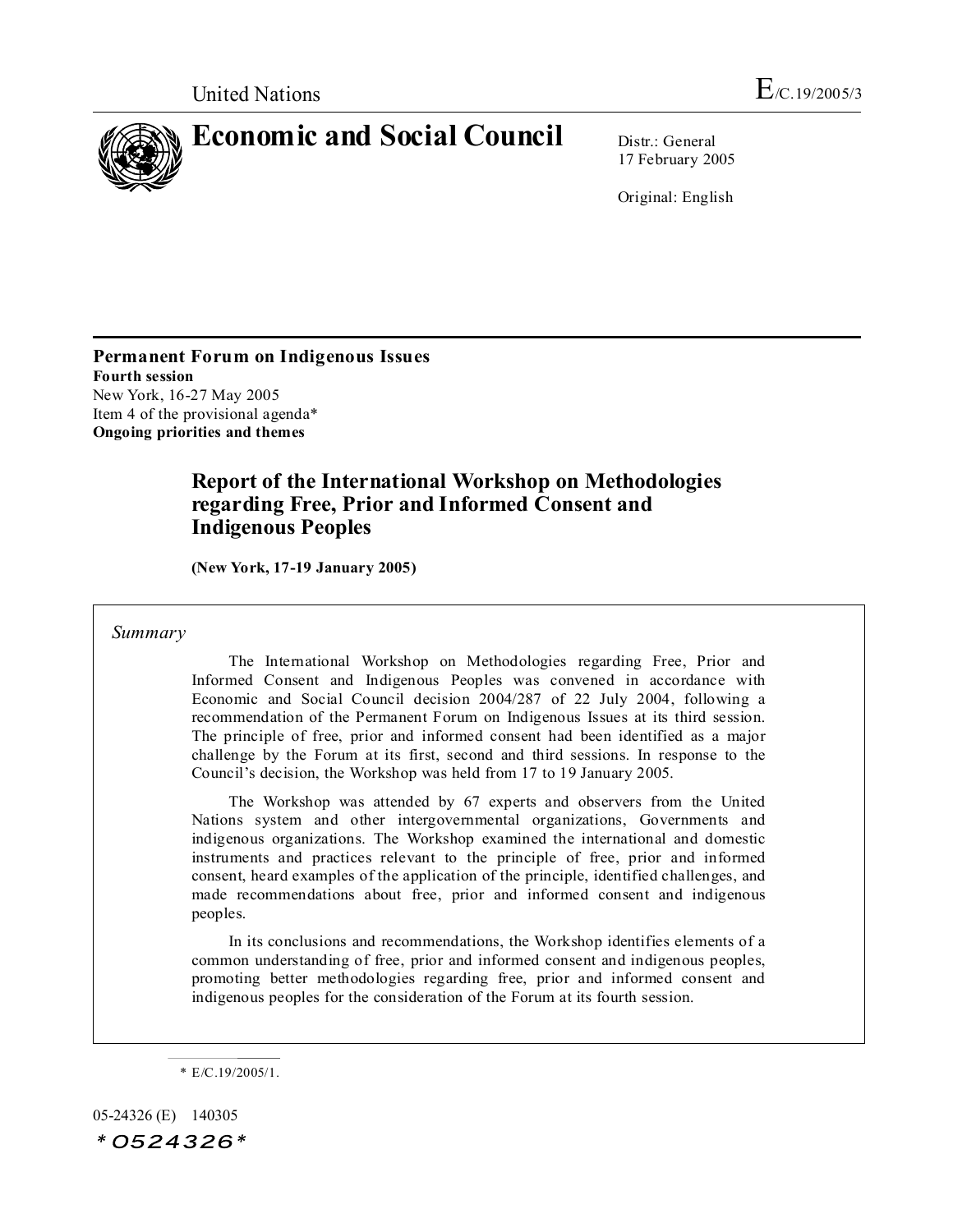

17 February 2005

Original: English

**Permanent Forum on Indigenous Issues Fourth session** New York, 16-27 May 2005 Item 4 of the provisional agenda\* **Ongoing priorities and themes**

## **Report of the International Workshop on Methodologies regarding Free, Prior and Informed Consent and Indigenous Peoples**

**( ew York, 17-19 January 2005)**

#### *Summary*

The International Workshop on Methodologies regarding Free, Prior and Informed Consent and Indigenous Peoples was convened in accordance with Economic and Social Council decision 2004/287 of 22 July 2004, following a recommendation of the Permanent Forum on Indigenous Issues at its third session. The principle of free, prior and informed consent had been identified as a major challenge by the Forum at its first, second and third sessions. In response to the Council's decision, the Workshop was held from 17 to 19 January 2005.

The Workshop was attended by 67 experts and observers from the United Nations system and other intergovernmental organizations, Governments and indigenous organizations. The Workshop examined the international and domestic instruments and practices relevant to the principle of free, prior and informed consent, heard examples of the application of the principle, identified challenges, and made recommendations about free, prior and informed consent and indigenous peoples.

In its conclusions and recommendations, the Workshop identifies elements of a common understanding of free, prior and informed consent and indigenous peoples, promoting better methodologies regarding free, prior and informed consent and indigenous peoples for the consideration of the Forum at its fourth session.

05-24326 (E) 140305  $*0524326*$ 

<sup>\*</sup> E/C.19/2005/1.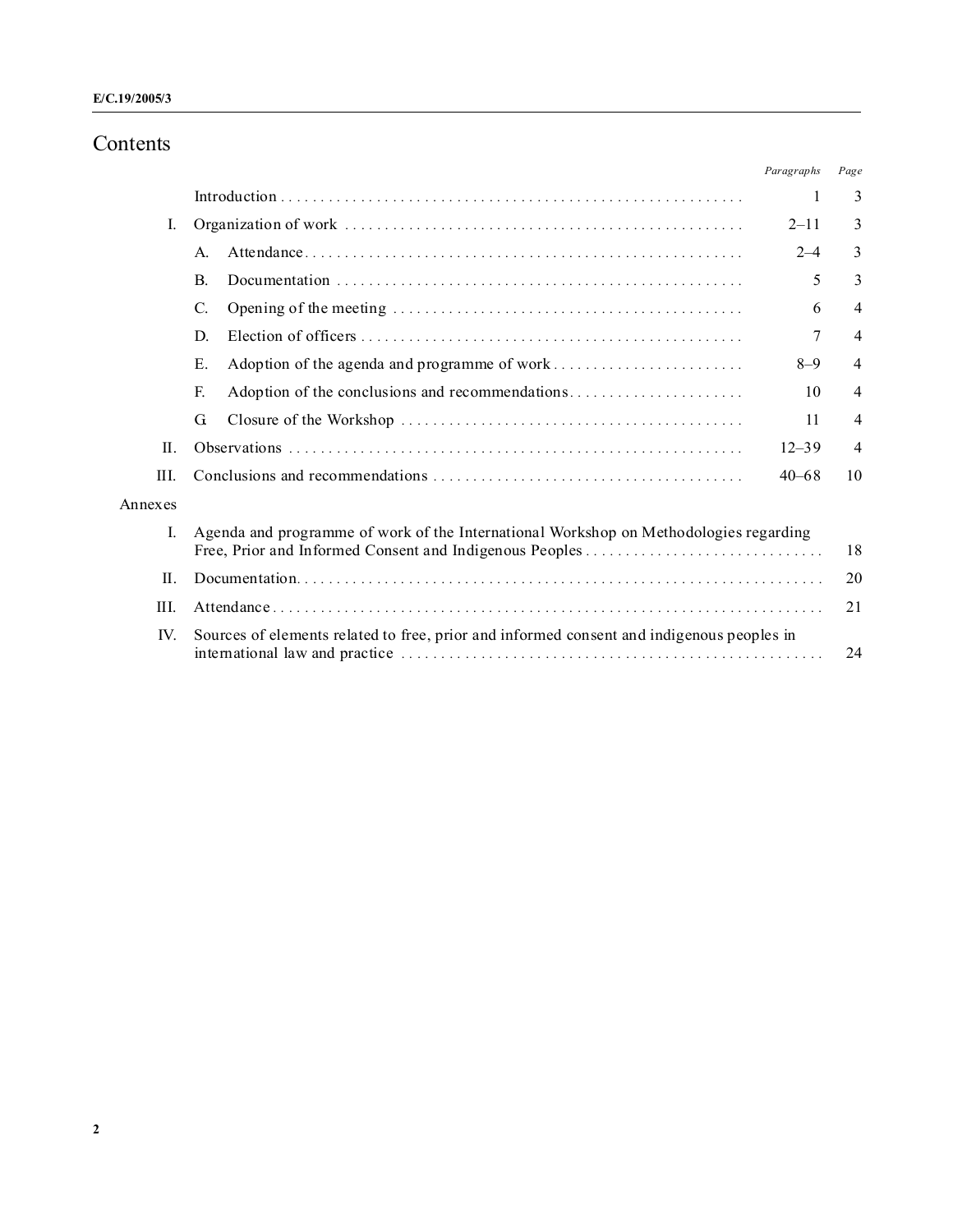## Contents

|              |                                                                                                 | Paragraphs | Page           |  |
|--------------|-------------------------------------------------------------------------------------------------|------------|----------------|--|
|              |                                                                                                 | 1          | 3              |  |
| L            |                                                                                                 | $2 - 11$   | 3              |  |
|              | A.                                                                                              | $2 - 4$    | 3              |  |
|              | $\mathbf{B}$                                                                                    | 5          | 3              |  |
|              | C.                                                                                              | 6          | $\overline{4}$ |  |
|              | D.                                                                                              | 7          | $\overline{4}$ |  |
|              | Ε.                                                                                              | $8 - 9$    | $\overline{4}$ |  |
|              | F.                                                                                              | 10         | 4              |  |
|              | G                                                                                               | 11         | 4              |  |
| H.           | $12 - 39$                                                                                       |            |                |  |
| III.         | 10<br>$40 - 68$                                                                                 |            |                |  |
| Annexes      |                                                                                                 |            |                |  |
| L            | Agenda and programme of work of the International Workshop on Methodologies regarding<br>18     |            |                |  |
| II.          | 20                                                                                              |            |                |  |
| $\mathbf{H}$ | 21                                                                                              |            |                |  |
| IV.          | Sources of elements related to free, prior and informed consent and indigenous peoples in<br>24 |            |                |  |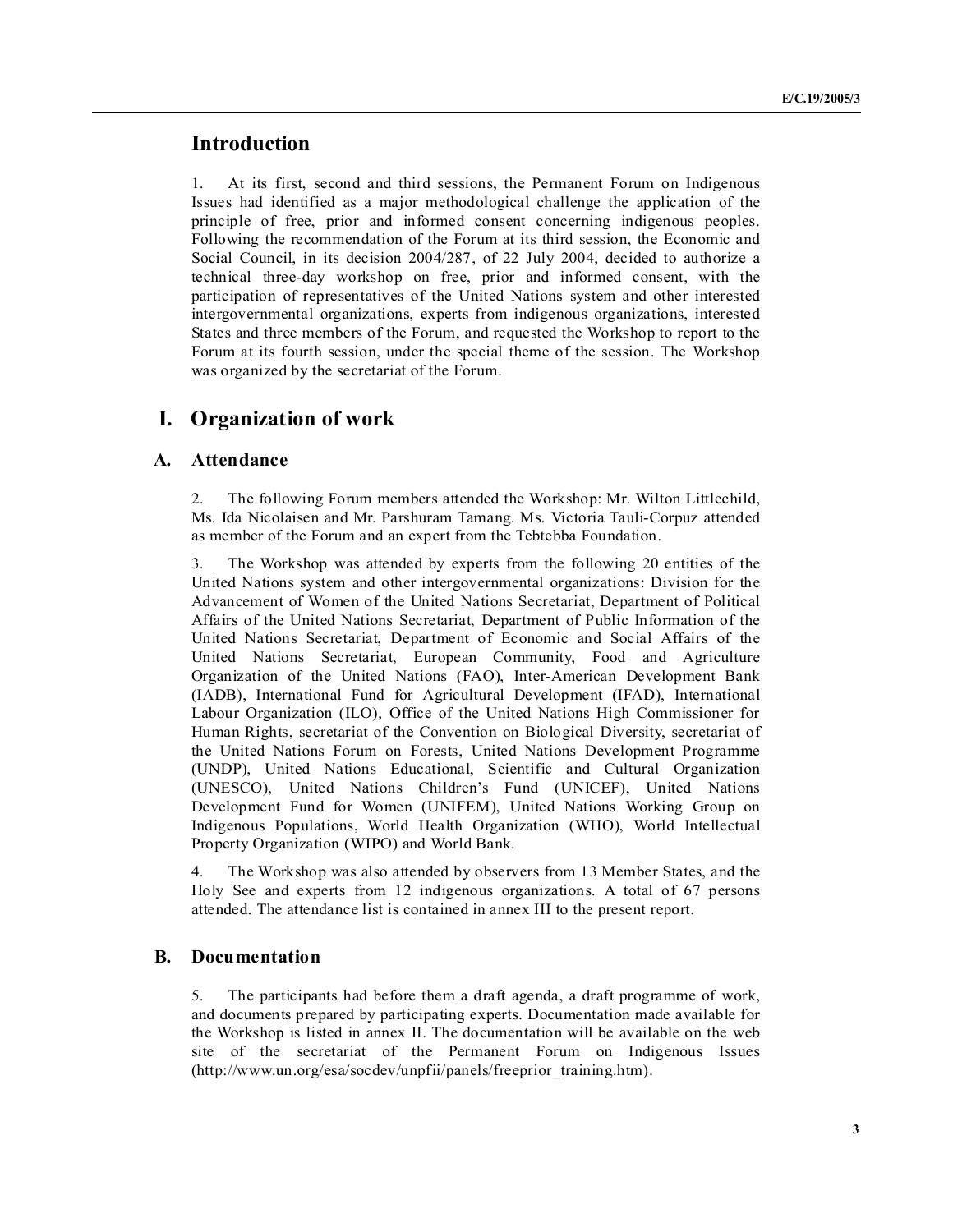## **Introduction**

1. At its first, second and third sessions, the Permanent Forum on Indigenous Issues had identified as a major methodological challenge the application of the principle of free, prior and informed consent concerning indigenous peoples. Following the recommendation of the Forum at its third session, the Economic and Social Council, in its decision 2004/287, of 22 July 2004, decided to authorize a technical three-day workshop on free, prior and informed consent, with the participation of representatives of the United Nations system and other interested intergovernmental organizations, experts from indigenous organizations, interested States and three members of the Forum, and requested the Workshop to report to the Forum at its fourth session, under the special theme of the session. The Workshop was organized by the secretariat of the Forum.

## **I. Organization of work**

### **A. Attendance**

2. The following Forum members attended the Workshop: Mr. Wilton Littlechild, Ms. Ida Nicolaisen and Mr. Parshuram Tamang. Ms. Victoria Tauli-Corpuz attended as member of the Forum and an expert from the Tebtebba Foundation.

3. The Workshop was attended by experts from the following 20 entities of the United Nations system and other intergovernmental organizations: Division for the Advancement of Women of the United Nations Secretariat, Department of Political Affairs of the United Nations Secretariat, Department of Public Information of the United Nations Secretariat, Department of Economic and Social Affairs of the United Nations Secretariat, European Community, Food and Agriculture Organization of the United Nations (FAO), Inter-American Development Bank (IADB), International Fund for Agricultural Development (IFAD), International Labour Organization (ILO), Office of the United Nations High Commissioner for Human Rights, secretariat of the Convention on Biological Diversity, secretariat of the United Nations Forum on Forests, United Nations Development Programme (UNDP), United Nations Educational, Scientific and Cultural Organization (UNESCO), United Nations Children's Fund (UNICEF), United Nations Development Fund for Women (UNIFEM), United Nations Working Group on Indigenous Populations, World Health Organization (WHO), World Intellectual Property Organization (WIPO) and World Bank.

4. The Workshop was also attended by observers from 13 Member States, and the Holy See and experts from 12 indigenous organizations. A total of 67 persons attended. The attendance list is contained in annex III to the present report.

#### **B. Documentation**

5. The participants had before them a draft agenda, a draft programme of work, and documents prepared by participating experts. Documentation made available for the Workshop is listed in annex II. The documentation will be available on the web site of the secretariat of the Permanent Forum on Indigenous Issues (http://www.un.org/esa/socdev/unpfii/panels/freeprior\_training.htm).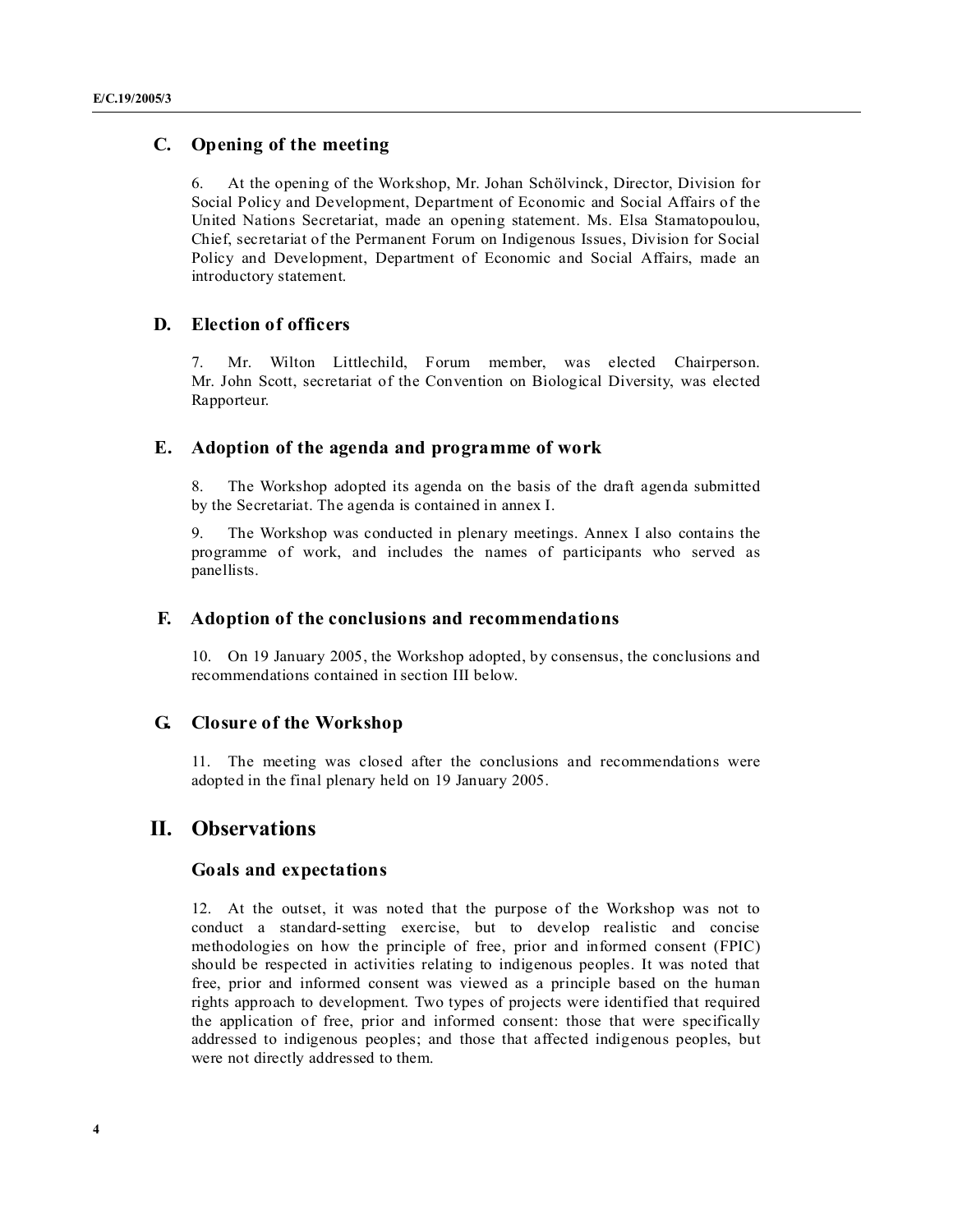## **C. Opening of the meeting**

6. At the opening of the Workshop, Mr. Johan Schölvinck, Director, Division for Social Policy and Development, Department of Economic and Social Affairs of the United Nations Secretariat, made an opening statement. Ms. Elsa Stamatopoulou, Chief, secretariat of the Permanent Forum on Indigenous Issues, Division for Social Policy and Development, Department of Economic and Social Affairs, made an introductory statement.

## **D. Election of officers**

7. Mr. Wilton Littlechild, Forum member, was elected Chairperson. Mr. John Scott, secretariat of the Convention on Biological Diversity, was elected Rapporteur.

## **E. Adoption of the agenda and programme of work**

8. The Workshop adopted its agenda on the basis of the draft agenda submitted by the Secretariat. The agenda is contained in annex I.

9. The Workshop was conducted in plenary meetings. Annex I also contains the programme of work, and includes the names of participants who served as panellists.

#### **F. Adoption of the conclusions and recommendations**

10. On 19 January 2005, the Workshop adopted, by consensus, the conclusions and recommendations contained in section III below.

#### **G. Closure of the Workshop**

11. The meeting was closed after the conclusions and recommendations were adopted in the final plenary held on 19 January 2005.

## **II. Observations**

#### **Goals and expectations**

12. At the outset, it was noted that the purpose of the Workshop was not to conduct a standard-setting exercise, but to develop realistic and concise methodologies on how the principle of free, prior and informed consent (FPIC) should be respected in activities relating to indigenous peoples. It was noted that free, prior and informed consent was viewed as a principle based on the human rights approach to development. Two types of projects were identified that required the application of free, prior and informed consent: those that were specifically addressed to indigenous peoples; and those that affected indigenous peoples, but were not directly addressed to them.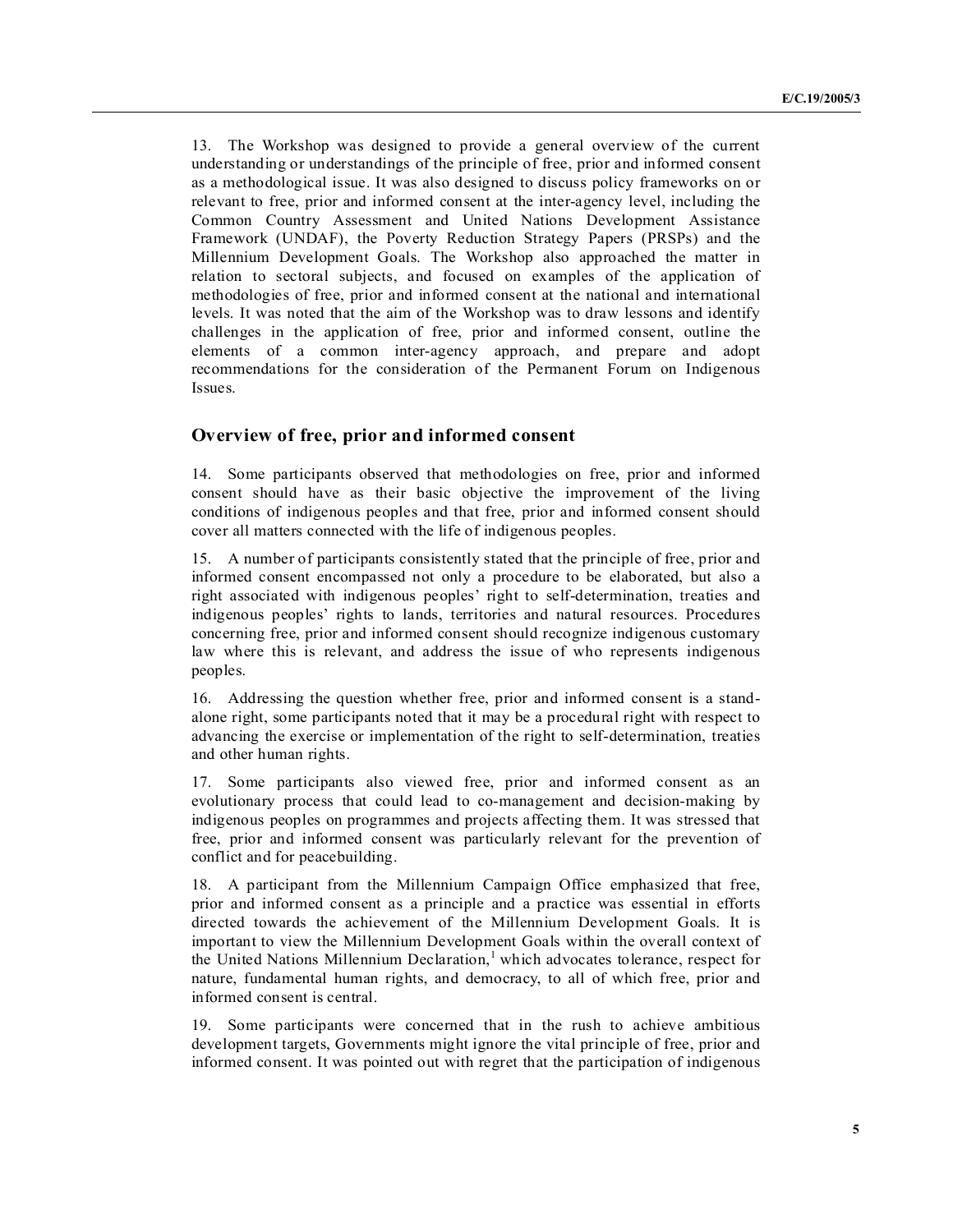13. The Workshop was designed to provide a general overview of the current understanding or understandings of the principle of free, prior and informed consent as a methodological issue. It was also designed to discuss policy frameworks on or relevant to free, prior and informed consent at the inter-agency level, including the Common Country Assessment and United Nations Development Assistance Framework (UNDAF), the Poverty Reduction Strategy Papers (PRSPs) and the Millennium Development Goals. The Workshop also approached the matter in relation to sectoral subjects, and focused on examples of the application of methodologies of free, prior and informed consent at the national and international levels. It was noted that the aim of the Workshop was to draw lessons and identify challenges in the application of free, prior and informed consent, outline the elements of a common inter-agency approach, and prepare and adopt recommendations for the consideration of the Permanent Forum on Indigenous Issues.

## **Overview of free, prior and informed consent**

14. Some participants observed that methodologies on free, prior and informed consent should have as their basic objective the improvement of the living conditions of indigenous peoples and that free, prior and informed consent should cover all matters connected with the life of indigenous peoples.

15. A number of participants consistently stated that the principle of free, prior and informed consent encompassed not only a procedure to be elaborated, but also a right associated with indigenous peoples' right to self-determination, treaties and indigenous peoples' rights to lands, territories and natural resources. Procedures concerning free, prior and informed consent should recognize indigenous customary law where this is relevant, and address the issue of who represents indigenous peoples.

16. Addressing the question whether free, prior and informed consent is a standalone right, some participants noted that it may be a procedural right with respect to advancing the exercise or implementation of the right to self-determination, treaties and other human rights.

17. Some participants also viewed free, prior and informed consent as an evolutionary process that could lead to co-management and decision-making by indigenous peoples on programmes and projects affecting them. It was stressed that free, prior and informed consent was particularly relevant for the prevention of conflict and for peacebuilding.

18. A participant from the Millennium Campaign Office emphasized that free, prior and informed consent as a principle and a practice was essential in efforts directed towards the achievement of the Millennium Development Goals. It is important to view the Millennium Development Goals within the overall context of the United Nations Millennium Declaration,<sup>1</sup> which advocates tolerance, respect for nature, fundamental human rights, and democracy, to all of which free, prior and informed consent is central.

19. Some participants were concerned that in the rush to achieve ambitious development targets, Governments might ignore the vital principle of free, prior and informed consent. It was pointed out with regret that the participation of indigenous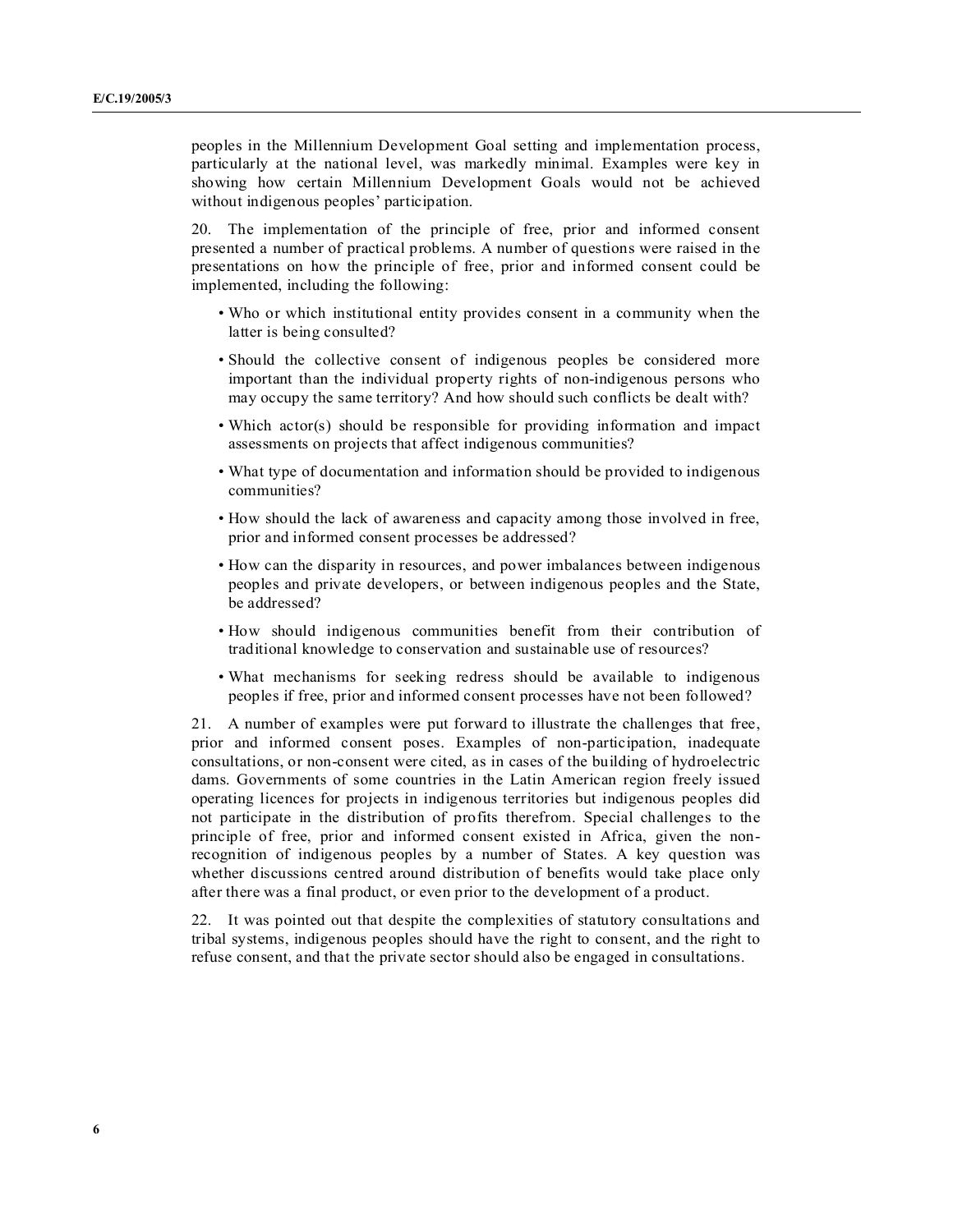peoples in the Millennium Development Goal setting and implementation process, particularly at the national level, was markedly minimal. Examples were key in showing how certain Millennium Development Goals would not be achieved without indigenous peoples' participation.

20. The implementation of the principle of free, prior and informed consent presented a number of practical problems. A number of questions were raised in the presentations on how the principle of free, prior and informed consent could be implemented, including the following:

- Who or which institutional entity provides consent in a community when the latter is being consulted?
- Should the collective consent of indigenous peoples be considered more important than the individual property rights of non-indigenous persons who may occupy the same territory? And how should such conflicts be dealt with?
- Which actor(s) should be responsible for providing information and impact assessments on projects that affect indigenous communities?
- What type of documentation and information should be provided to indigenous communities?
- How should the lack of awareness and capacity among those involved in free, prior and informed consent processes be addressed?
- How can the disparity in resources, and power imbalances between indigenous peoples and private developers, or between indigenous peoples and the State, be addressed?
- How should indigenous communities benefit from their contribution of traditional knowledge to conservation and sustainable use of resources?
- What mechanisms for seeking redress should be available to indigenous peoples if free, prior and informed consent processes have not been followed?

21. A number of examples were put forward to illustrate the challenges that free, prior and informed consent poses. Examples of non-participation, inadequate consultations, or non-consent were cited, as in cases of the building of hydroelectric dams. Governments of some countries in the Latin American region freely issued operating licences for projects in indigenous territories but indigenous peoples did not participate in the distribution of profits therefrom. Special challenges to the principle of free, prior and informed consent existed in Africa, given the nonrecognition of indigenous peoples by a number of States. A key question was whether discussions centred around distribution of benefits would take place only after there was a final product, or even prior to the development of a product.

22. It was pointed out that despite the complexities of statutory consultations and tribal systems, indigenous peoples should have the right to consent, and the right to refuse consent, and that the private sector should also be engaged in consultations.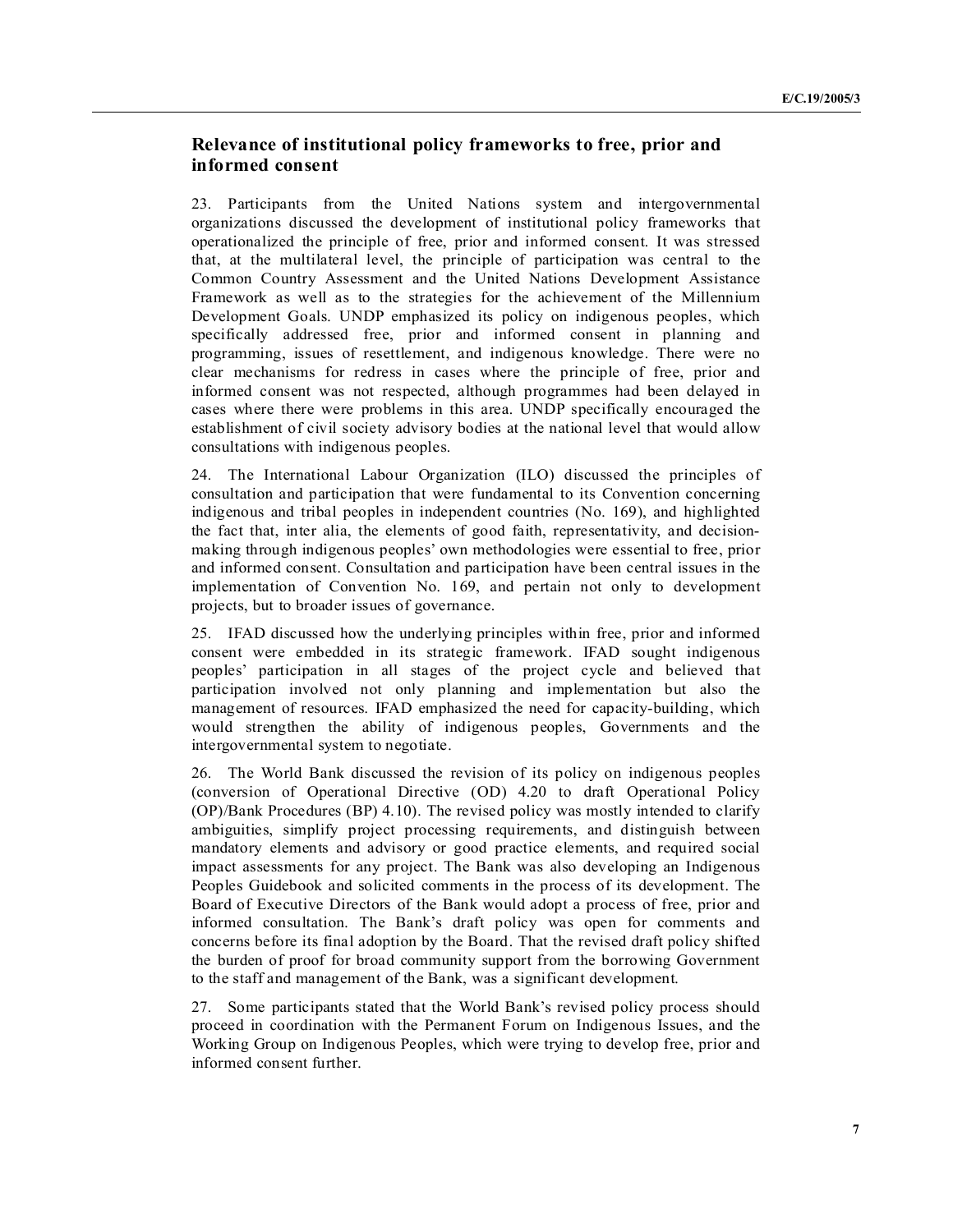## **Relevance of institutional policy frameworks to free, prior and informed consent**

23. Participants from the United Nations system and intergovernmental organizations discussed the development of institutional policy frameworks that operationalized the principle of free, prior and informed consent. It was stressed that, at the multilateral level, the principle of participation was central to the Common Country Assessment and the United Nations Development Assistance Framework as well as to the strategies for the achievement of the Millennium Development Goals. UNDP emphasized its policy on indigenous peoples, which specifically addressed free, prior and informed consent in planning and programming, issues of resettlement, and indigenous knowledge. There were no clear mechanisms for redress in cases where the principle of free, prior and informed consent was not respected, although programmes had been delayed in cases where there were problems in this area. UNDP specifically encouraged the establishment of civil society advisory bodies at the national level that would allow consultations with indigenous peoples.

24. The International Labour Organization (ILO) discussed the principles of consultation and participation that were fundamental to its Convention concerning indigenous and tribal peoples in independent countries (No. 169), and highlighted the fact that, inter alia, the elements of good faith, representativity, and decisionmaking through indigenous peoples' own methodologies were essential to free, prior and informed consent. Consultation and participation have been central issues in the implementation of Convention No. 169, and pertain not only to development projects, but to broader issues of governance.

25. IFAD discussed how the underlying principles within free, prior and informed consent were embedded in its strategic framework. IFAD sought indigenous peoples' participation in all stages of the project cycle and believed that participation involved not only planning and implementation but also the management of resources. IFAD emphasized the need for capacity-building, which would strengthen the ability of indigenous peoples, Governments and the intergovernmental system to negotiate.

26. The World Bank discussed the revision of its policy on indigenous peoples (conversion of Operational Directive (OD) 4.20 to draft Operational Policy (OP)/Bank Procedures (BP) 4.10). The revised policy was mostly intended to clarify ambiguities, simplify project processing requirements, and distinguish between mandatory elements and advisory or good practice elements, and required social impact assessments for any project. The Bank was also developing an Indigenous Peoples Guidebook and solicited comments in the process of its development. The Board of Executive Directors of the Bank would adopt a process of free, prior and informed consultation. The Bank's draft policy was open for comments and concerns before its final adoption by the Board. That the revised draft policy shifted the burden of proof for broad community support from the borrowing Government to the staff and management of the Bank, was a significant development.

27. Some participants stated that the World Bank's revised policy process should proceed in coordination with the Permanent Forum on Indigenous Issues, and the Working Group on Indigenous Peoples, which were trying to develop free, prior and informed consent further.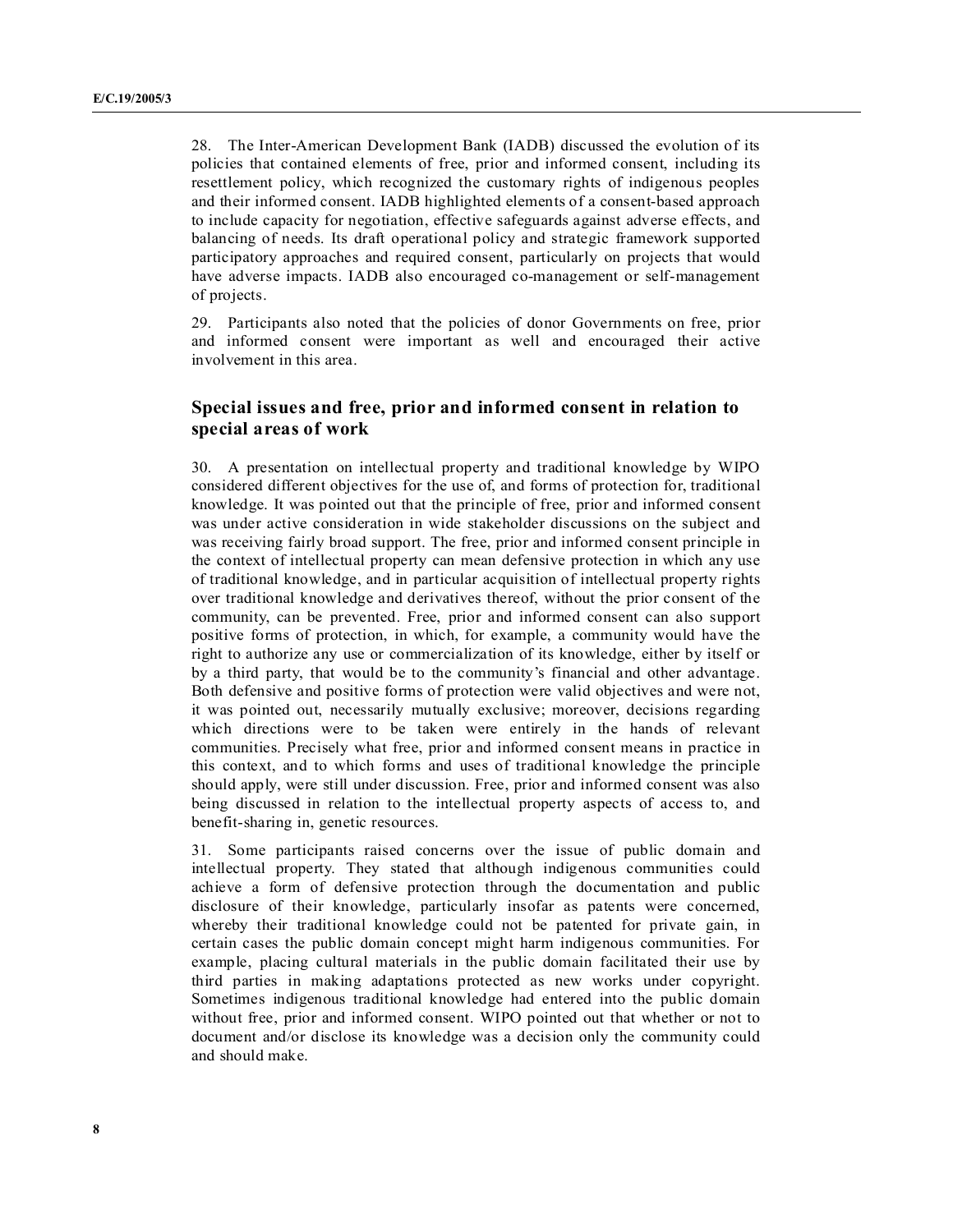28. The Inter-American Development Bank (IADB) discussed the evolution of its policies that contained elements of free, prior and informed consent, including its resettlement policy, which recognized the customary rights of indigenous peoples and their informed consent. IADB highlighted elements of a consent-based approach to include capacity for negotiation, effective safeguards against adverse effects, and balancing of needs. Its draft operational policy and strategic framework supported participatory approaches and required consent, particularly on projects that would have adverse impacts. IADB also encouraged co-management or self-management of projects.

29. Participants also noted that the policies of donor Governments on free, prior and informed consent were important as well and encouraged their active involvement in this area.

## **Special issues and free, prior and informed consent in relation to special areas of work**

30. A presentation on intellectual property and traditional knowledge by WIPO considered different objectives for the use of, and forms of protection for, traditional knowledge. It was pointed out that the principle of free, prior and informed consent was under active consideration in wide stakeholder discussions on the subject and was receiving fairly broad support. The free, prior and informed consent principle in the context of intellectual property can mean defensive protection in which any use of traditional knowledge, and in particular acquisition of intellectual property rights over traditional knowledge and derivatives thereof, without the prior consent of the community, can be prevented. Free, prior and informed consent can also support positive forms of protection, in which, for example, a community would have the right to authorize any use or commercialization of its knowledge, either by itself or by a third party, that would be to the community's financial and other advantage. Both defensive and positive forms of protection were valid objectives and were not, it was pointed out, necessarily mutually exclusive; moreover, decisions regarding which directions were to be taken were entirely in the hands of relevant communities. Precisely what free, prior and informed consent means in practice in this context, and to which forms and uses of traditional knowledge the principle should apply, were still under discussion. Free, prior and informed consent was also being discussed in relation to the intellectual property aspects of access to, and benefit-sharing in, genetic resources.

31. Some participants raised concerns over the issue of public domain and intellectual property. They stated that although indigenous communities could achieve a form of defensive protection through the documentation and public disclosure of their knowledge, particularly insofar as patents were concerned, whereby their traditional knowledge could not be patented for private gain, in certain cases the public domain concept might harm indigenous communities. For example, placing cultural materials in the public domain facilitated their use by third parties in making adaptations protected as new works under copyright. Sometimes indigenous traditional knowledge had entered into the public domain without free, prior and informed consent. WIPO pointed out that whether or not to document and/or disclose its knowledge was a decision only the community could and should make.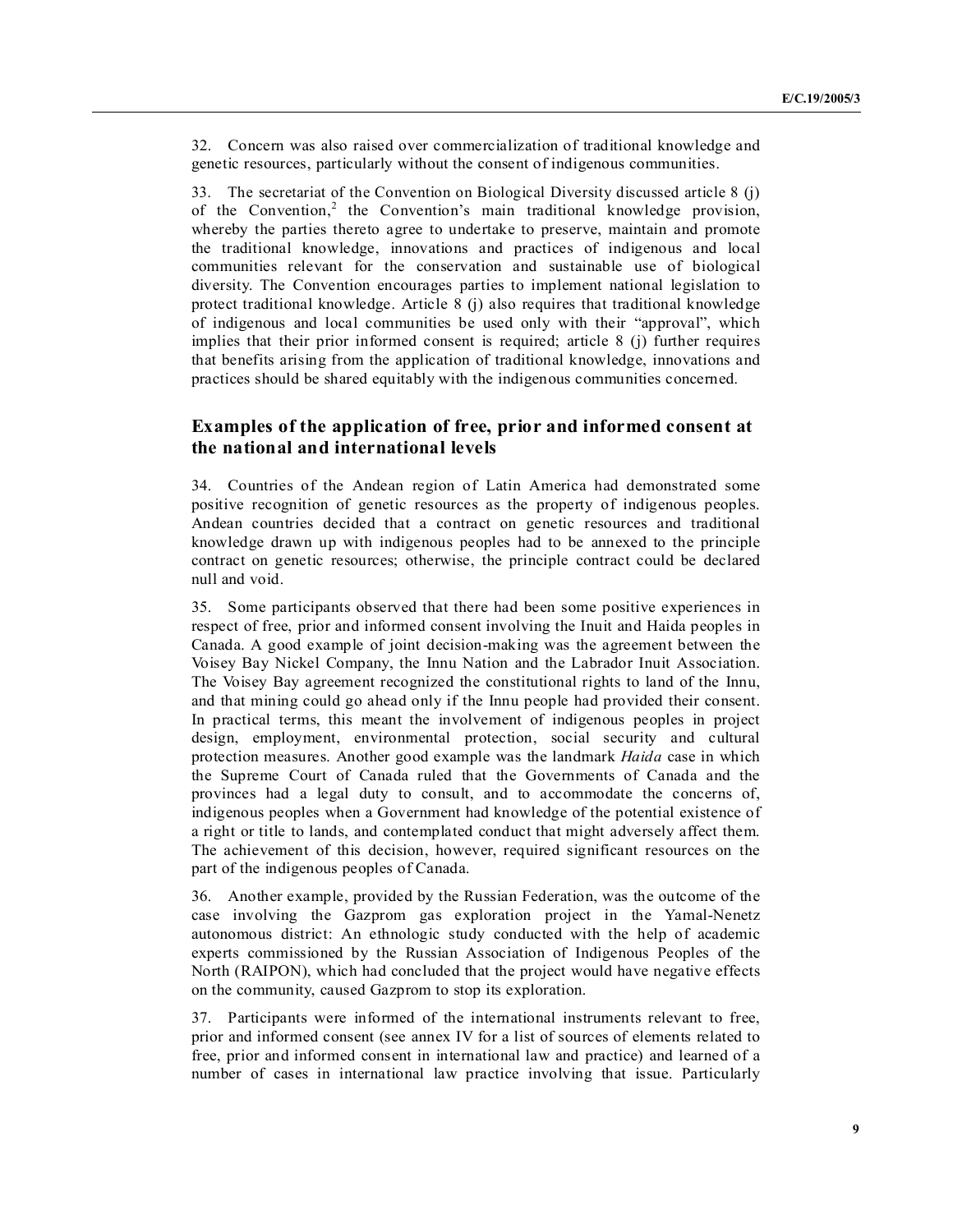32. Concern was also raised over commercialization of traditional knowledge and genetic resources, particularly without the consent of indigenous communities.

33. The secretariat of the Convention on Biological Diversity discussed article 8 (j) of the Convention,<sup>2</sup> the Convention's main traditional knowledge provision, whereby the parties thereto agree to undertake to preserve, maintain and promote the traditional knowledge, innovations and practices of indigenous and local communities relevant for the conservation and sustainable use of biological diversity. The Convention encourages parties to implement national legislation to protect traditional knowledge. Article 8 (j) also requires that traditional knowledge of indigenous and local communities be used only with their "approval", which implies that their prior informed consent is required; article 8 (j) further requires that benefits arising from the application of traditional knowledge, innovations and practices should be shared equitably with the indigenous communities concerned.

## **Examples of the application of free, prior and informed consent at the national and international levels**

34. Countries of the Andean region of Latin America had demonstrated some positive recognition of genetic resources as the property of indigenous peoples. Andean countries decided that a contract on genetic resources and traditional knowledge drawn up with indigenous peoples had to be annexed to the principle contract on genetic resources; otherwise, the principle contract could be declared null and void.

35. Some participants observed that there had been some positive experiences in respect of free, prior and informed consent involving the Inuit and Haida peoples in Canada. A good example of joint decision-making was the agreement between the Voisey Bay Nickel Company, the Innu Nation and the Labrador Inuit Association. The Voisey Bay agreement recognized the constitutional rights to land of the Innu, and that mining could go ahead only if the Innu people had provided their consent. In practical terms, this meant the involvement of indigenous peoples in project design, employment, environmental protection, social security and cultural protection measures. Another good example was the landmark *Haida* case in which the Supreme Court of Canada ruled that the Governments of Canada and the provinces had a legal duty to consult, and to accommodate the concerns of, indigenous peoples when a Government had knowledge of the potential existence of a right or title to lands, and contemplated conduct that might adversely affect them. The achievement of this decision, however, required significant resources on the part of the indigenous peoples of Canada.

36. Another example, provided by the Russian Federation, was the outcome of the case involving the Gazprom gas exploration project in the Yamal-Nenetz autonomous district: An ethnologic study conducted with the help of academic experts commissioned by the Russian Association of Indigenous Peoples of the North (RAIPON), which had concluded that the project would have negative effects on the community, caused Gazprom to stop its exploration.

37. Participants were informed of the international instruments relevant to free, prior and informed consent (see annex IV for a list of sources of elements related to free, prior and informed consent in international law and practice) and learned of a number of cases in international law practice involving that issue. Particularly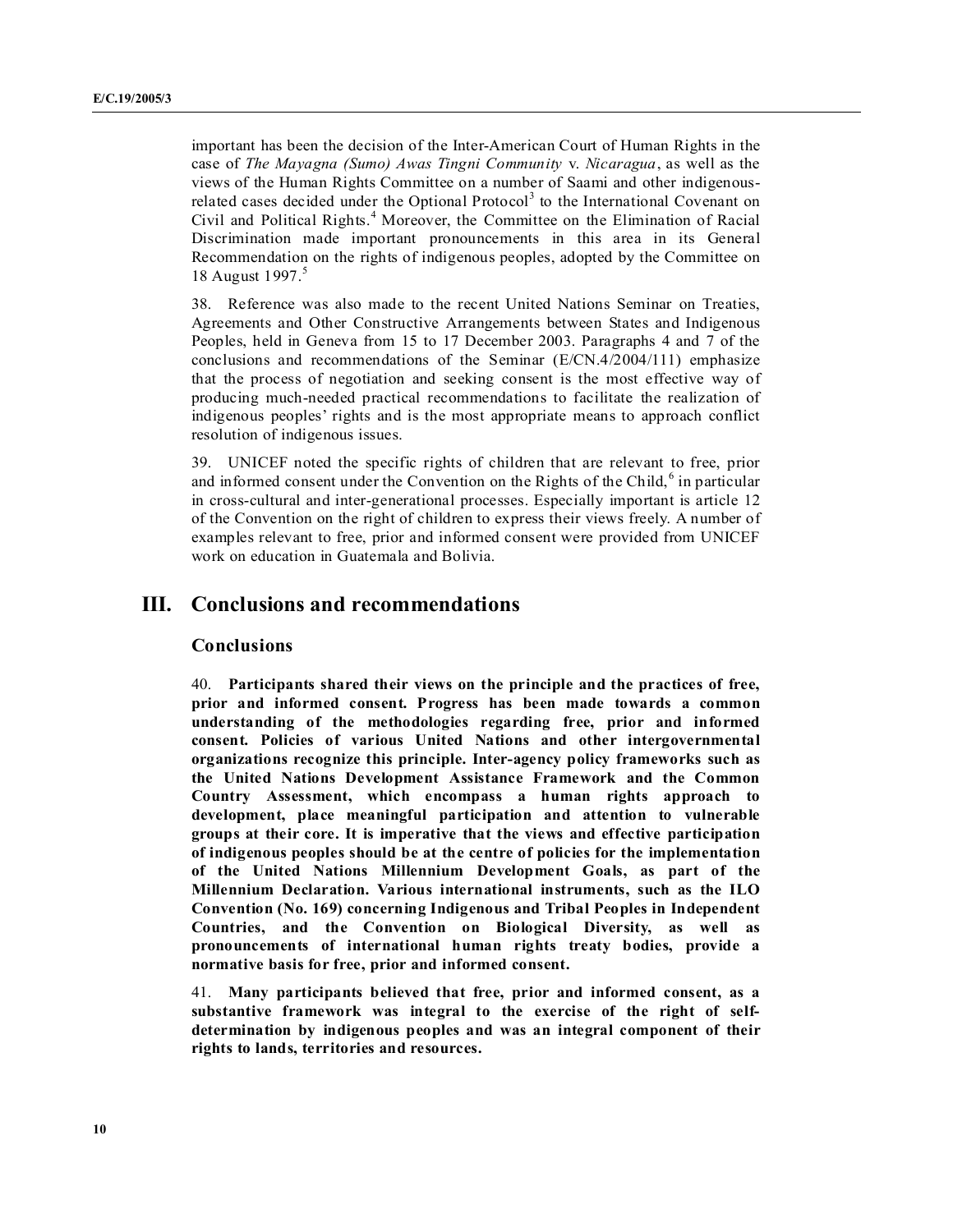important has been the decision of the Inter-American Court of Human Rights in the case of *The Mayagna (Sumo) Awas Tingni Community* v. *icaragua*, as well as the views of the Human Rights Committee on a number of Saami and other indigenousrelated cases decided under the Optional Protocol<sup>3</sup> to the International Covenant on Civil and Political Rights.<sup>4</sup> Moreover, the Committee on the Elimination of Racial Discrimination made important pronouncements in this area in its General Recommendation on the rights of indigenous peoples, adopted by the Committee on 18 August 1997.<sup>5</sup>

38. Reference was also made to the recent United Nations Seminar on Treaties, Agreements and Other Constructive Arrangements between States and Indigenous Peoples, held in Geneva from 15 to 17 December 2003. Paragraphs 4 and 7 of the conclusions and recommendations of the Seminar (E/CN.4/2004/111) emphasize that the process of negotiation and seeking consent is the most effective way of producing much-needed practical recommendations to facilitate the realization of indigenous peoples' rights and is the most appropriate means to approach conflict resolution of indigenous issues.

39. UNICEF noted the specific rights of children that are relevant to free, prior and informed consent under the Convention on the Rights of the Child,  $6$  in particular in cross-cultural and inter-generational processes. Especially important is article 12 of the Convention on the right of children to express their views freely. A number of examples relevant to free, prior and informed consent were provided from UNICEF work on education in Guatemala and Bolivia.

## **III. Conclusions and recommendations**

#### **Conclusions**

40. **Participants shared their views on the principle and the practices of free, prior and informed consent. Progress has been made towards a common understanding of the methodologies regarding free, prior and informed consent. Policies of various United ations and other intergovernmental organizations recognize this principle. Inter-agency policy frameworks such as the United ations Development Assistance Framework and the Common Country Assessment, which encompass a human rights approach to development, place meaningful participation and attention to vulnerable groups at their core. It is imperative that the views and effective participation of indigenous peoples should be at the centre of policies for the implementation of the United ations Millennium Development Goals, as part of the Millennium Declaration. Various international instruments, such as the ILO Convention ( o. 169) concerning Indigenous and Tribal Peoples in Independent Countries, and the Convention on Biological Diversity, as well as pronouncements of international human rights treaty bodies, provide a normative basis for free, prior and informed consent.**

41. **Many participants believed that free, prior and informed consent, as a substantive framework was integral to the exercise of the right of selfdetermination by indigenous peoples and was an integral component of their rights to lands, territories and resources.**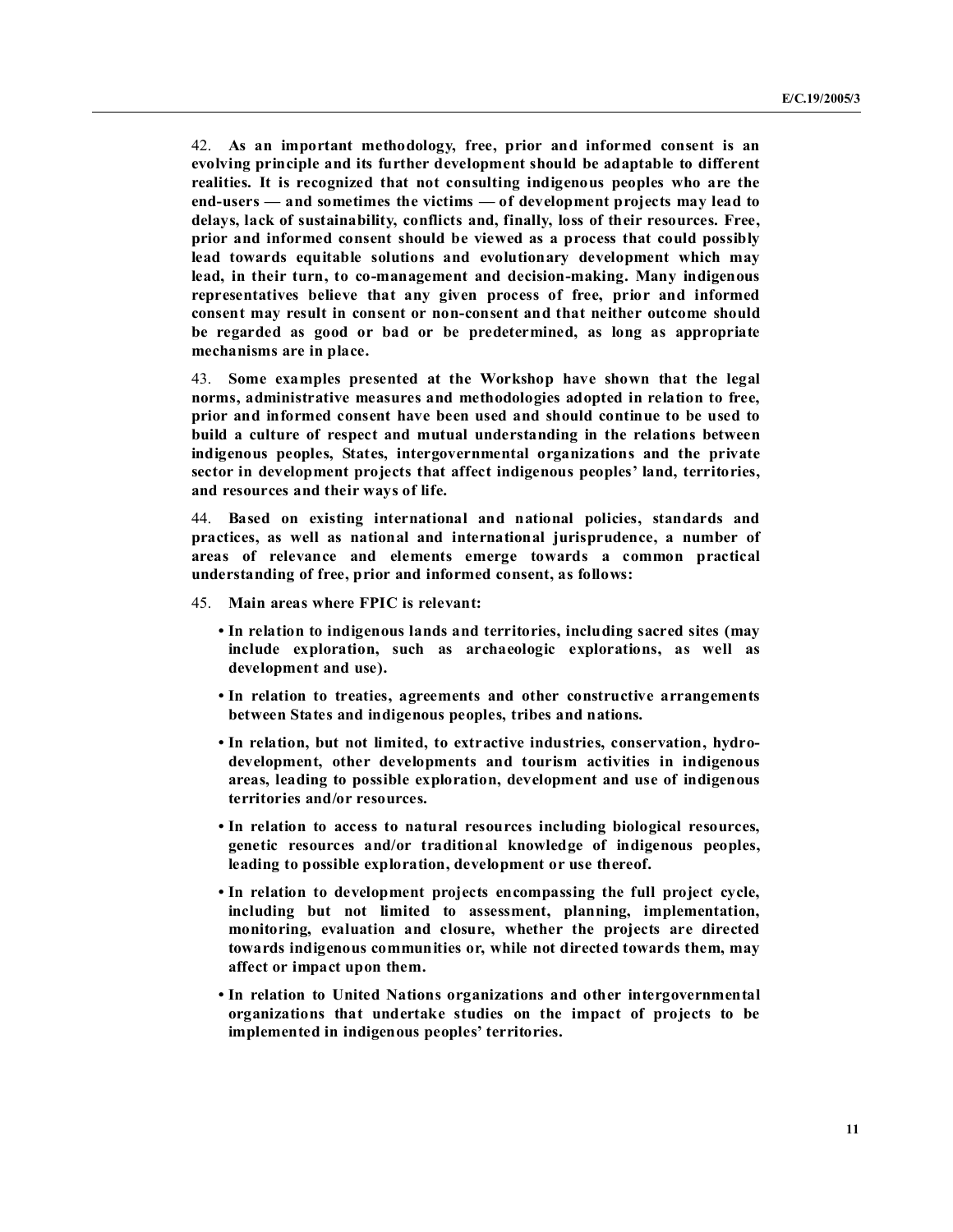42. **As an important methodology, free, prior and informed consent is an evolving principle and its further development should be adaptable to different realities. It is recognized that not consulting indigenous peoples who are the end-users — and sometimes the victims — of development projects may lead to delays, lack of sustainability, conflicts and, finally, loss of their resources. Free, prior and informed consent should be viewed as a process that could possibly lead towards equitable solutions and evolutionary development which may lead, in their turn, to co-management and decision-making. Many indigenous representatives believe that any given process of free, prior and informed consent may result in consent or non-consent and that neither outcome should be regarded as good or bad or be predetermined, as long as appropriate mechanisms are in place.**

43. **Some examples presented at the Workshop have shown that the legal norms, administrative measures and methodologies adopted in relation to free, prior and informed consent have been used and should continue to be used to build a culture of respect and mutual understanding in the relations between indigenous peoples, States, intergovernmental organizations and the private sector in development projects that affect indigenous peoples' land, territories, and resources and their ways of life.**

44. **Based on existing international and national policies, standards and practices, as well as national and international jurisprudence, a number of areas of relevance and elements emerge towards a common practical understanding of free, prior and informed consent, as follows:**

- 45. **Main areas where FPIC is relevant:**
	- **In relation to indigenous lands and territories, including sacred sites (may include exploration, such as archaeologic explorations, as well as development and use).**
	- **In relation to treaties, agreements and other constructive arrangements between States and indigenous peoples, tribes and nations.**
	- **In relation, but not limited, to extractive industries, conservation, hydrodevelopment, other developments and tourism activities in indigenous areas, leading to possible exploration, development and use of indigenous territories and/or resources.**
	- **In relation to access to natural resources including biological resources, genetic resources and/or traditional knowledge of indigenous peoples, leading to possible exploration, development or use thereof.**
	- **In relation to development projects encompassing the full project cycle, including but not limited to assessment, planning, implementation, monitoring, evaluation and closure, whether the projects are directed towards indigenous communities or, while not directed towards them, may affect or impact upon them.**
	- **In relation to United Nations organizations and other intergovernmental organizations that undertake studies on the impact of projects to be implemented in indigenous peoples' territories.**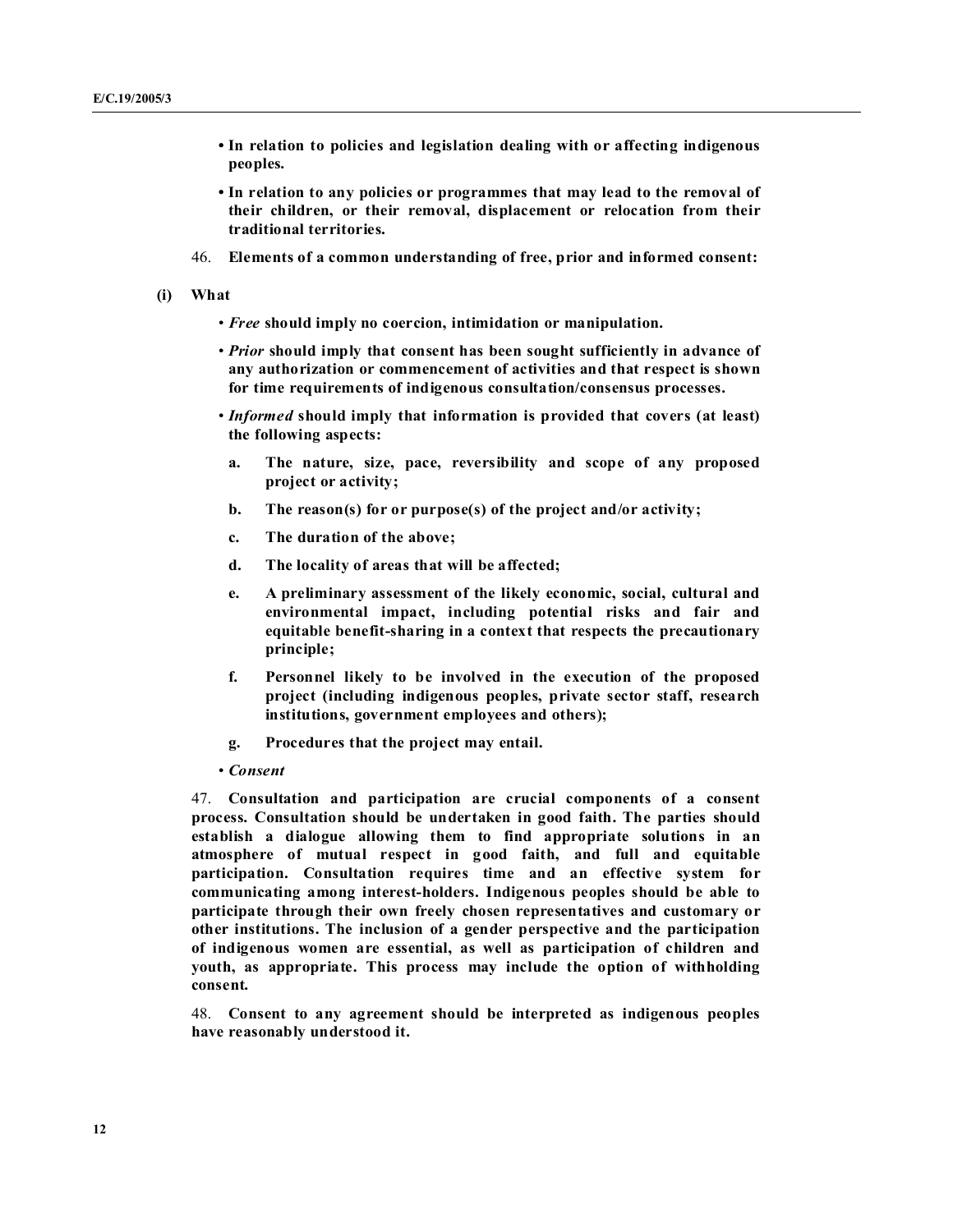- **In relation to policies and legislation dealing with or affecting indigenous peoples.**
- **In relation to any policies or programmes that may lead to the removal of their children, or their removal, displacement or relocation from their traditional territories.**
- 46. **Elements of a common understanding of free, prior and informed consent:**
- **(i) What**
	- *Free* **should imply no coercion, intimidation or manipulation.**
	- *Prior* **should imply that consent has been sought sufficiently in advance of any authorization or commencement of activities and that respect is shown for time requirements of indigenous consultation/consensus processes.**
	- *Informed* **should imply that information is provided that covers (at least) the following aspects:**
		- **a. The nature, size, pace, reversibility and scope of any proposed project or activity;**
	- **b. The reason(s) for or purpose(s) of the project and/or activity;**
	- **c. The duration of the above;**
	- **d. The locality of areas that will be affected;**
	- **e. A preliminary assessment of the likely economic, social, cultural and environmental impact, including potential risks and fair and equitable benefit-sharing in a context that respects the precautionary principle;**
	- **f. Personnel likely to be involved in the execution of the proposed project (including indigenous peoples, private sector staff, research institutions, government employees and others);**
	- **g. Procedures that the project may entail.**
	- *Consent*

47. **Consultation and participation are crucial components of a consent process. Consultation should be undertaken in good faith. The parties should establish a dialogue allowing them to find appropriate solutions in an atmosphere of mutual respect in good faith, and full and equitable participation. Consultation requires time and an effective system for communicating among interest-holders. Indigenous peoples should be able to participate through their own freely chosen representatives and customary or other institutions. The inclusion of a gender perspective and the participation of indigenous women are essential, as well as participation of children and youth, as appropriate. This process may include the option of withholding consent.**

48. **Consent to any agreement should be interpreted as indigenous peoples have reasonably understood it.**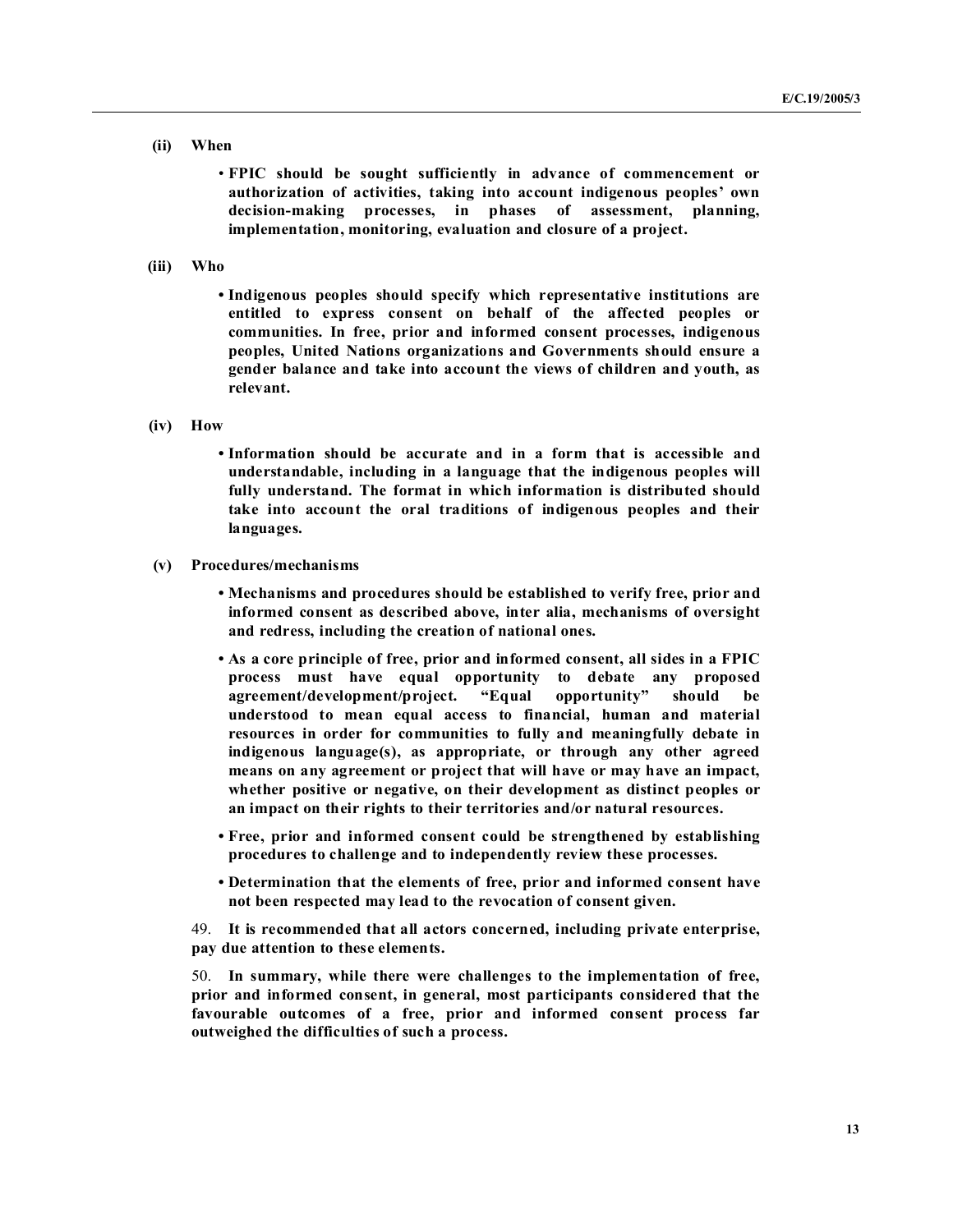#### **(ii) When**

• **FPIC should be sought sufficiently in advance of commencement or authorization of activities, taking into account indigenous peoples' own decision-making processes, in phases of assessment, planning, implementation, monitoring, evaluation and closure of a project.**

**(iii) Who**

**• Indigenous peoples should specify which representative institutions are entitled to express consent on behalf of the affected peoples or communities. In free, prior and informed consent processes, indigenous** peoples, United Nations organizations and Governments should ensure a **gender balance and take into account the views of children and youth, as relevant.**

#### **(iv) How**

**• Information should be accurate and in a form that is accessible and understandable, including in a language that the indigenous peoples will fully understand. The format in which information is distributed should take into account the oral traditions of indigenous peoples and their languages.**

#### **(v) Procedures/mechanisms**

**• Mechanisms and procedures should be established to verify free, prior and informed consent as described above, inter alia, mechanisms of oversight and redress, including the creation of national ones.**

- **As a core principle of free, prior and informed consent, all sides in a FPIC process must have equal opportunity to debate any proposed agreement/development/project. "Equal opportunity" should be understood to mean equal access to financial, human and material resources in order for communities to fully and meaningfully debate in indigenous language(s), as appropriate, or through any other agreed means on any agreement or project that will have or may have an impact, whether positive or negative, on their development as distinct peoples or an impact on their rights to their territories and/or natural resources.**
- **Free, prior and informed consent could be strengthened by establishing procedures to challenge and to independently review these processes.**
- **Determination that the elements of free, prior and informed consent have not been respected may lead to the revocation of consent given.**

49. **It is recommended that all actors concerned, including private enterprise, pay due attention to these elements.**

50. **In summary, while there were challenges to the implementation of free, prior and informed consent, in general, most participants considered that the favourable outcomes of a free, prior and informed consent process far outweighed the difficulties of such a process.**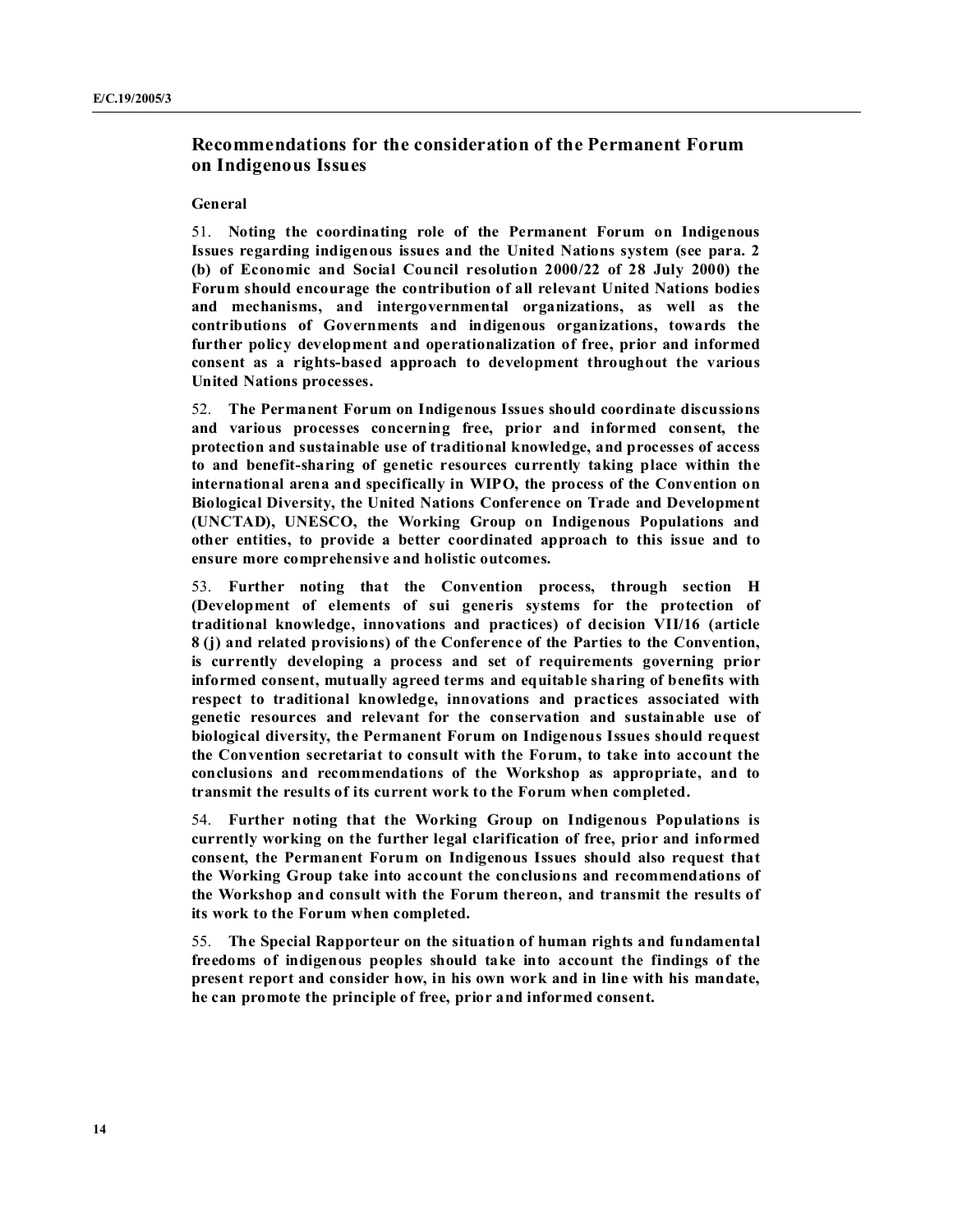## **Recommendations for the consideration of the Permanent Forum on Indigenous Issues**

#### **General**

51.  **oting the coordinating role of the Permanent Forum on Indigenous** Issues regarding indigenous issues and the United Nations system (see para. 2 **(b) of Economic and Social Council resolution 2000/22 of 28 July 2000) the** Forum should encourage the contribution of all relevant United Nations bodies **and mechanisms, and intergovernmental organizations, as well as the contributions of Governments and indigenous organizations, towards the further policy development and operationalization of free, prior and informed consent as a rights-based approach to development throughout the various United Nations processes.** 

52. **The Permanent Forum on Indigenous Issues should coordinate discussions and various processes concerning free, prior and informed consent, the protection and sustainable use of traditional knowledge, and processes of access to and benefit-sharing of genetic resources currently taking place within the international arena and specifically in WIPO, the process of the Convention on Biological Diversity, the United Nations Conference on Trade and Development (U CTAD), U ESCO, the Working Group on Indigenous Populations and other entities, to provide a better coordinated approach to this issue and to ensure more comprehensive and holistic outcomes.**

53. **Further noting that the Convention process, through section H (Development of elements of sui generis systems for the protection of traditional knowledge, innovations and practices) of decision VII/16 (article 8 (j) and related provisions) of the Conference of the Parties to the Convention, is currently developing a process and set of requirements governing prior informed consent, mutually agreed terms and equitable sharing of benefits with respect to traditional knowledge, innovations and practices associated with genetic resources and relevant for the conservation and sustainable use of biological diversity, the Permanent Forum on Indigenous Issues should request the Convention secretariat to consult with the Forum, to take into account the conclusions and recommendations of the Workshop as appropriate, and to transmit the results of its current work to the Forum when completed.**

54. **Further noting that the Working Group on Indigenous Populations is currently working on the further legal clarification of free, prior and informed consent, the Permanent Forum on Indigenous Issues should also request that the Working Group take into account the conclusions and recommendations of the Workshop and consult with the Forum thereon, and transmit the results of its work to the Forum when completed.**

55. **The Special Rapporteur on the situation of human rights and fundamental freedoms of indigenous peoples should take into account the findings of the present report and consider how, in his own work and in line with his mandate, he can promote the principle of free, prior and informed consent.**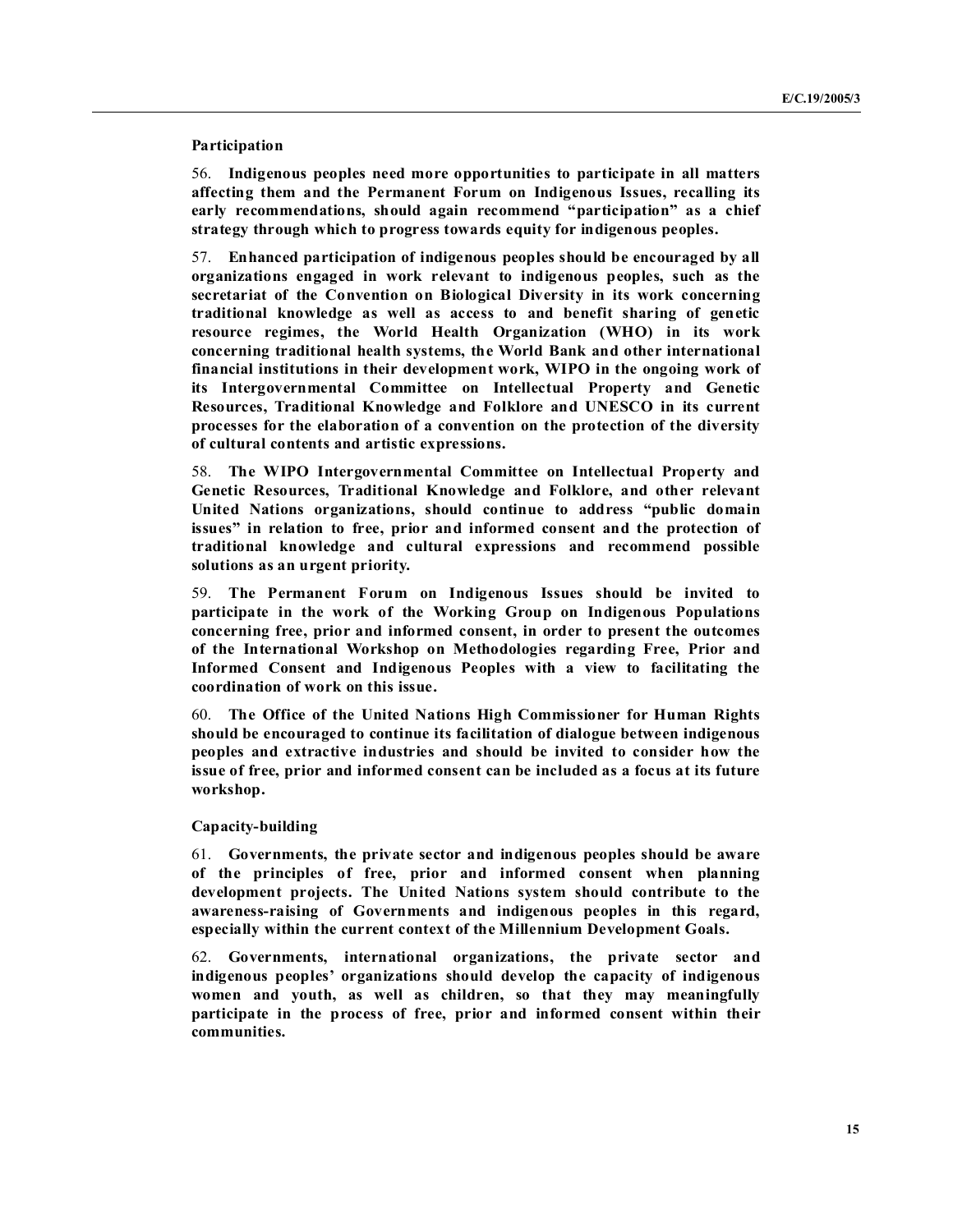#### **Participation**

56. **Indigenous peoples need more opportunities to participate in all matters affecting them and the Permanent Forum on Indigenous Issues, recalling its early recommendations, should again recommend "participation" as a chief strategy through which to progress towards equity for indigenous peoples.**

57. **Enhanced participation of indigenous peoples should be encouraged by all organizations engaged in work relevant to indigenous peoples, such as the secretariat of the Convention on Biological Diversity in its work concerning traditional knowledge as well as access to and benefit sharing of genetic resource regimes, the World Health Organization (WHO) in its work concerning traditional health systems, the World Bank and other international financial institutions in their development work, WIPO in the ongoing work of its Intergovernmental Committee on Intellectual Property and Genetic Resources, Traditional Knowledge and Folklore and U ESCO in its current processes for the elaboration of a convention on the protection of the diversity of cultural contents and artistic expressions.**

58. **The WIPO Intergovernmental Committee on Intellectual Property and Genetic Resources, Traditional Knowledge and Folklore, and other relevant United ations organizations, should continue to address "public domain issues" in relation to free, prior and informed consent and the protection of traditional knowledge and cultural expressions and recommend possible solutions as an urgent priority.**

59. **The Permanent Forum on Indigenous Issues should be invited to participate in the work of the Working Group on Indigenous Populations concerning free, prior and informed consent, in order to present the outcomes of the International Workshop on Methodologies regarding Free, Prior and Informed Consent and Indigenous Peoples with a view to facilitating the coordination of work on this issue.**

60. The Office of the United Nations High Commissioner for Human Rights **should be encouraged to continue its facilitation of dialogue between indigenous peoples and extractive industries and should be invited to consider how the issue of free, prior and informed consent can be included as a focus at its future workshop.**

#### **Capacity-building**

61. **Governments, the private sector and indigenous peoples should be aware of the principles of free, prior and informed consent when planning development projects. The United ations system should contribute to the awareness-raising of Governments and indigenous peoples in this regard, especially within the current context of the Millennium Development Goals.**

62. **Governments, international organizations, the private sector and indigenous peoples' organizations should develop the capacity of indigenous women and youth, as well as children, so that they may meaningfully participate in the process of free, prior and informed consent within their communities.**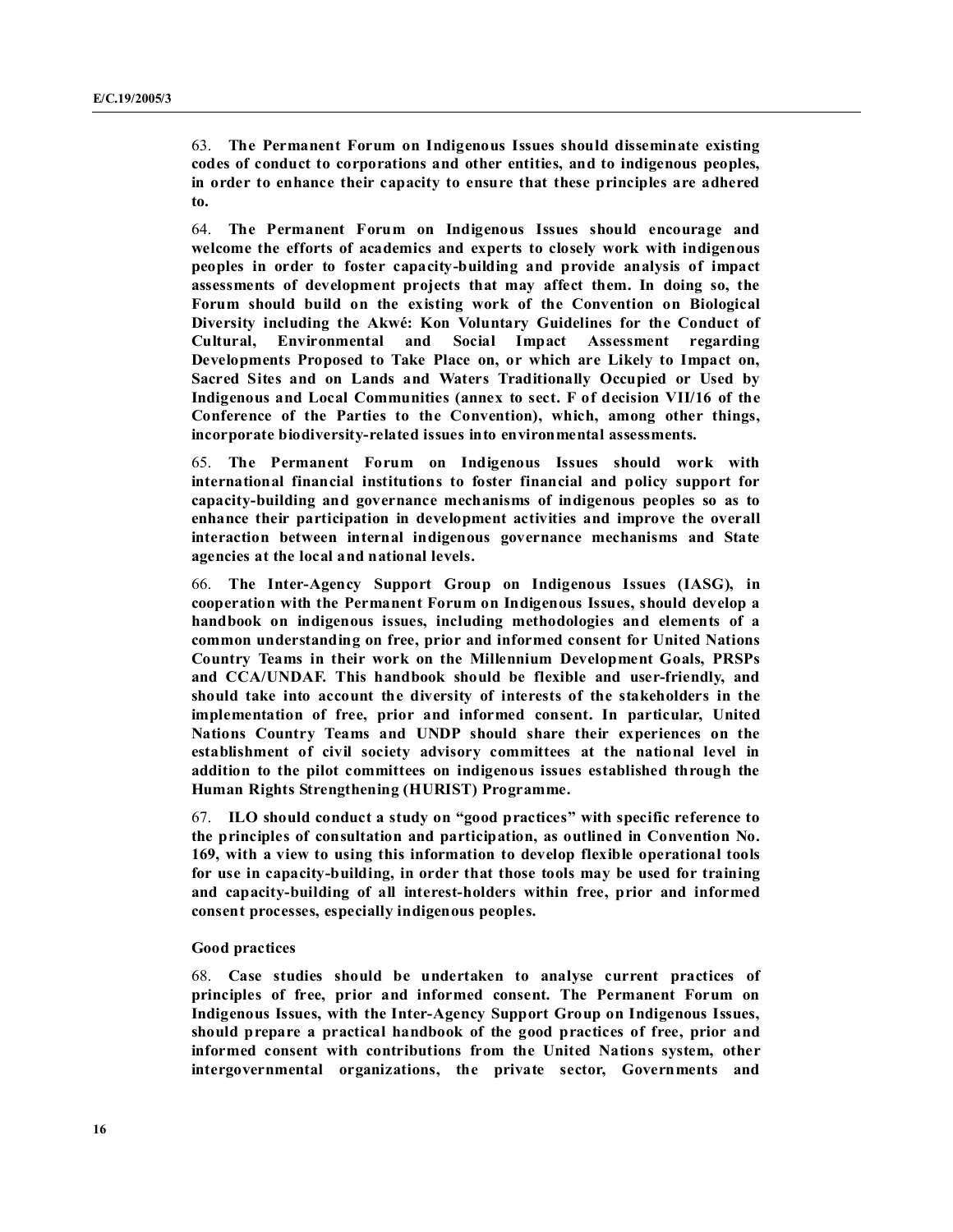63. **The Permanent Forum on Indigenous Issues should disseminate existing codes of conduct to corporations and other entities, and to indigenous peoples, in order to enhance their capacity to ensure that these principles are adhered to.**

64. **The Permanent Forum on Indigenous Issues should encourage and welcome the efforts of academics and experts to closely work with indigenous peoples in order to foster capacity-building and provide analysis of impact assessments of development projects that may affect them. In doing so, the Forum should build on the existing work of the Convention on Biological Diversity including the Akwé: Kon Voluntary Guidelines for the Conduct of Cultural, Environmental and Social Impact Assessment regarding Developments Proposed to Take Place on, or which are Likely to Impact on, Sacred Sites and on Lands and Waters Traditionally Occupied or Used by Indigenous and Local Communities (annex to sect. F of decision VII/16 of the Conference of the Parties to the Convention), which, among other things, incorporate biodiversity-related issues into environmental assessments.**

65. **The Permanent Forum on Indigenous Issues should work with international financial institutions to foster financial and policy support for capacity-building and governance mechanisms of indigenous peoples so as to enhance their participation in development activities and improve the overall interaction between internal indigenous governance mechanisms and State agencies at the local and national levels.**

66. **The Inter-Agency Support Group on Indigenous Issues (IASG), in cooperation with the Permanent Forum on Indigenous Issues, should develop a handbook on indigenous issues, including methodologies and elements of a common understanding on free, prior and informed consent for United ations Country Teams in their work on the Millennium Development Goals, PRSPs and CCA/U DAF. This handbook should be flexible and user-friendly, and should take into account the diversity of interests of the stakeholders in the implementation of free, prior and informed consent. In particular, United ations Country Teams and U DP should share their experiences on the establishment of civil society advisory committees at the national level in addition to the pilot committees on indigenous issues established through the Human Rights Strengthening (HURIST) Programme.**

67. **ILO should conduct a study on "good practices" with specific reference to the principles of consultation and participation, as outlined in Convention o. 169, with a view to using this information to develop flexible operational tools for use in capacity-building, in order that those tools may be used for training and capacity-building of all interest-holders within free, prior and informed consent processes, especially indigenous peoples.**

#### **Good practices**

68. **Case studies should be undertaken to analyse current practices of principles of free, prior and informed consent. The Permanent Forum on Indigenous Issues, with the Inter-Agency Support Group on Indigenous Issues, should prepare a practical handbook of the good practices of free, prior and informed consent with contributions from the United ations system, other intergovernmental organizations, the private sector, Governments and**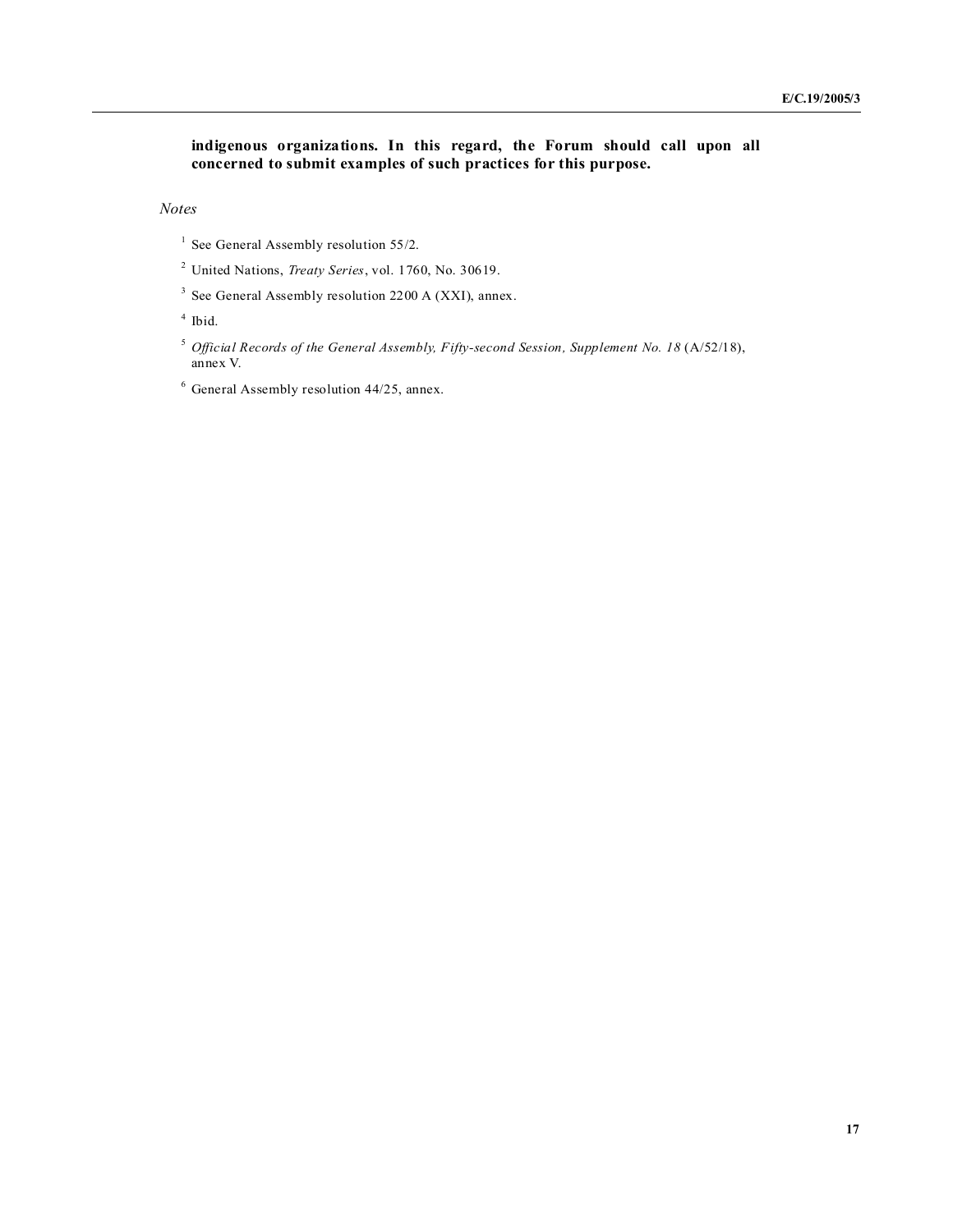**indigenous organizations. In this regard, the Forum should call upon all concerned to submit examples of such practices for this purpose.**

*Notes* 

- <sup>1</sup> See General Assembly resolution 55/2.
- <sup>2</sup> United Nations, *Treaty Series*, vol. 1760, No. 30619.
- <sup>3</sup> See General Assembly resolution 2200 A (XXI), annex.

4 Ibid.

- <sup>5</sup> Official Records of the General Assembly, Fifty-second Session, Supplement No. 18 (A/52/18), annex V.
- $6$  General Assembly resolution 44/25, annex.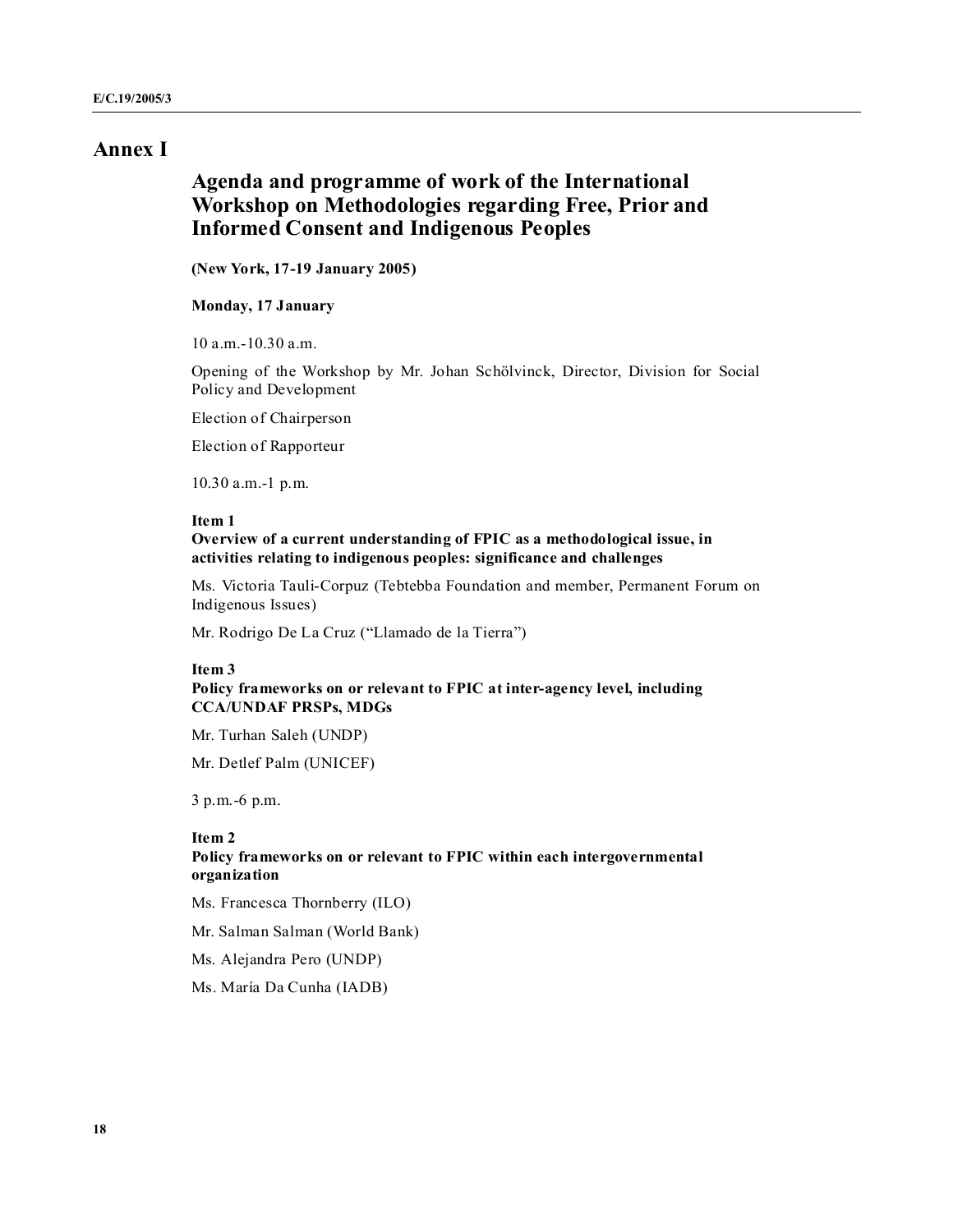## **Annex I**

## **Agenda and programme of work of the International Workshop on Methodologies regarding Free, Prior and Informed Consent and Indigenous Peoples**

**( ew York, 17-19 January 2005)**

#### **Monday, 17 January**

10 a.m.-10.30 a.m.

Opening of the Workshop by Mr. Johan Schölvinck, Director, Division for Social Policy and Development

Election of Chairperson

Election of Rapporteur

10.30 a.m.-1 p.m.

#### **Item 1**

**Overview of a current understanding of FPIC as a methodological issue, in activities relating to indigenous peoples: significance and challenges**

Ms. Victoria Tauli-Corpuz (Tebtebba Foundation and member, Permanent Forum on Indigenous Issues)

Mr. Rodrigo De La Cruz ("Llamado de la Tierra")

#### **Item 3**

#### **Policy frameworks on or relevant to FPIC at inter-agency level, including CCA/U DAF PRSPs, MDGs**

Mr. Turhan Saleh (UNDP)

Mr. Detlef Palm (UNICEF)

3 p.m.-6 p.m.

#### **Item 2**

#### **Policy frameworks on or relevant to FPIC within each intergovernmental organization**

Ms. Francesca Thornberry (ILO)

Mr. Salman Salman (World Bank)

Ms. Alejandra Pero (UNDP)

Ms. María Da Cunha (IADB)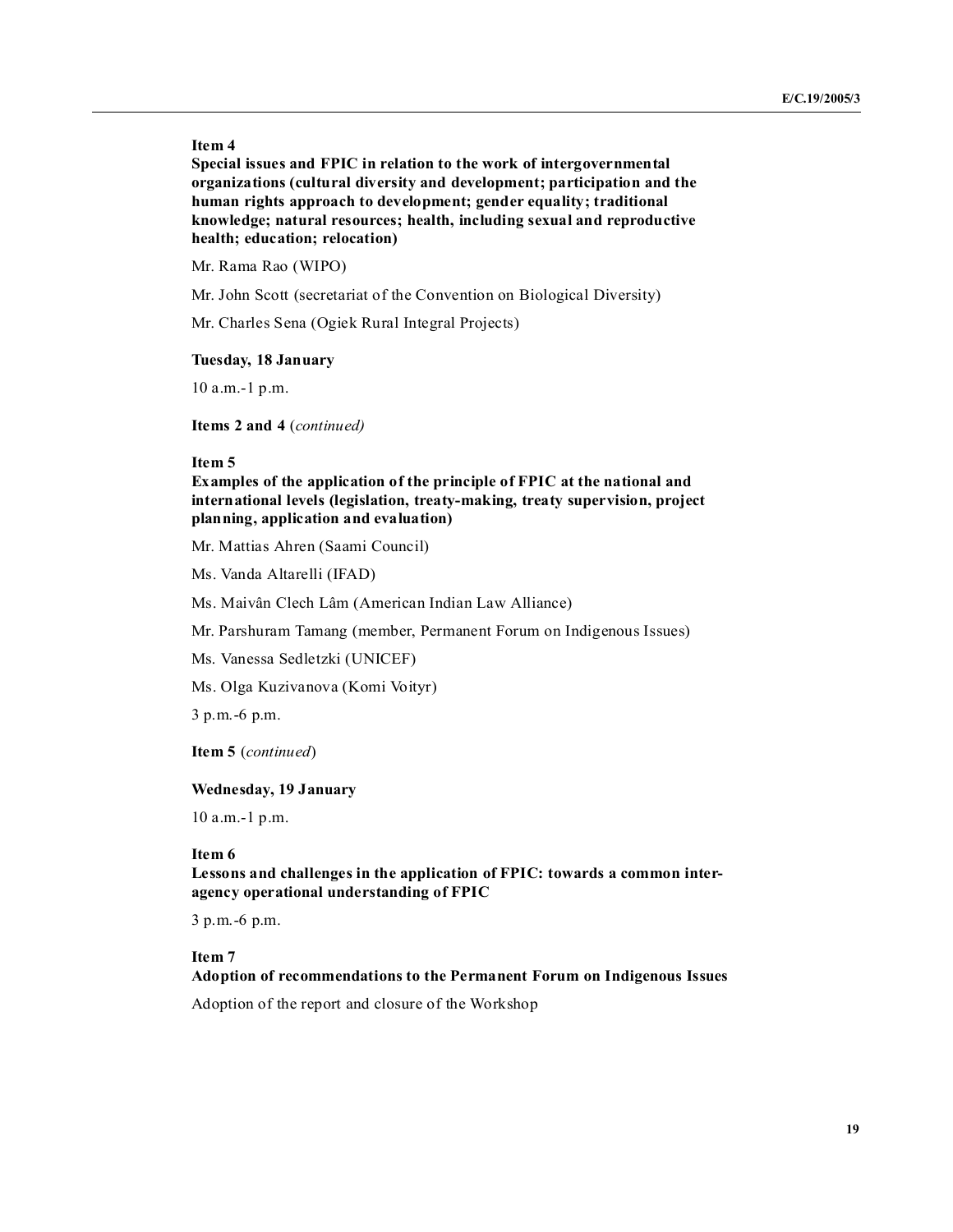#### **Item 4**

**Special issues and FPIC in relation to the work of intergovernmental organizations (cultural diversity and development; participation and the human rights approach to development; gender equality; traditional knowledge; natural resources; health, including sexual and reproductive health; education; relocation)**

Mr. Rama Rao (WIPO)

Mr. John Scott (secretariat of the Convention on Biological Diversity)

Mr. Charles Sena (Ogiek Rural Integral Projects)

#### **Tuesday, 18 January**

10 a.m.-1 p.m.

**Items 2 and 4** (*continued)*

#### **Item 5**

**Examples of the application of the principle of FPIC at the national and international levels (legislation, treaty-making, treaty supervision, project planning, application and evaluation)**

Mr. Mattias Ahren (Saami Council)

Ms. Vanda Altarelli (IFAD)

Ms. Maivân Clech Lâm (American Indian Law Alliance)

Mr. Parshuram Tamang (member, Permanent Forum on Indigenous Issues)

Ms. Vanessa Sedletzki (UNICEF)

Ms. Olga Kuzivanova (Komi Voityr)

3 p.m.-6 p.m.

**Item 5** (*continued*)

## **Wednesday, 19 January**

10 a.m.-1 p.m.

### **Item 6**

**Lessons and challenges in the application of FPIC: towards a common interagency operational understanding of FPIC**

3 p.m.-6 p.m.

#### **Item 7**

#### **Adoption of recommendations to the Permanent Forum on Indigenous Issues**

Adoption of the report and closure of the Workshop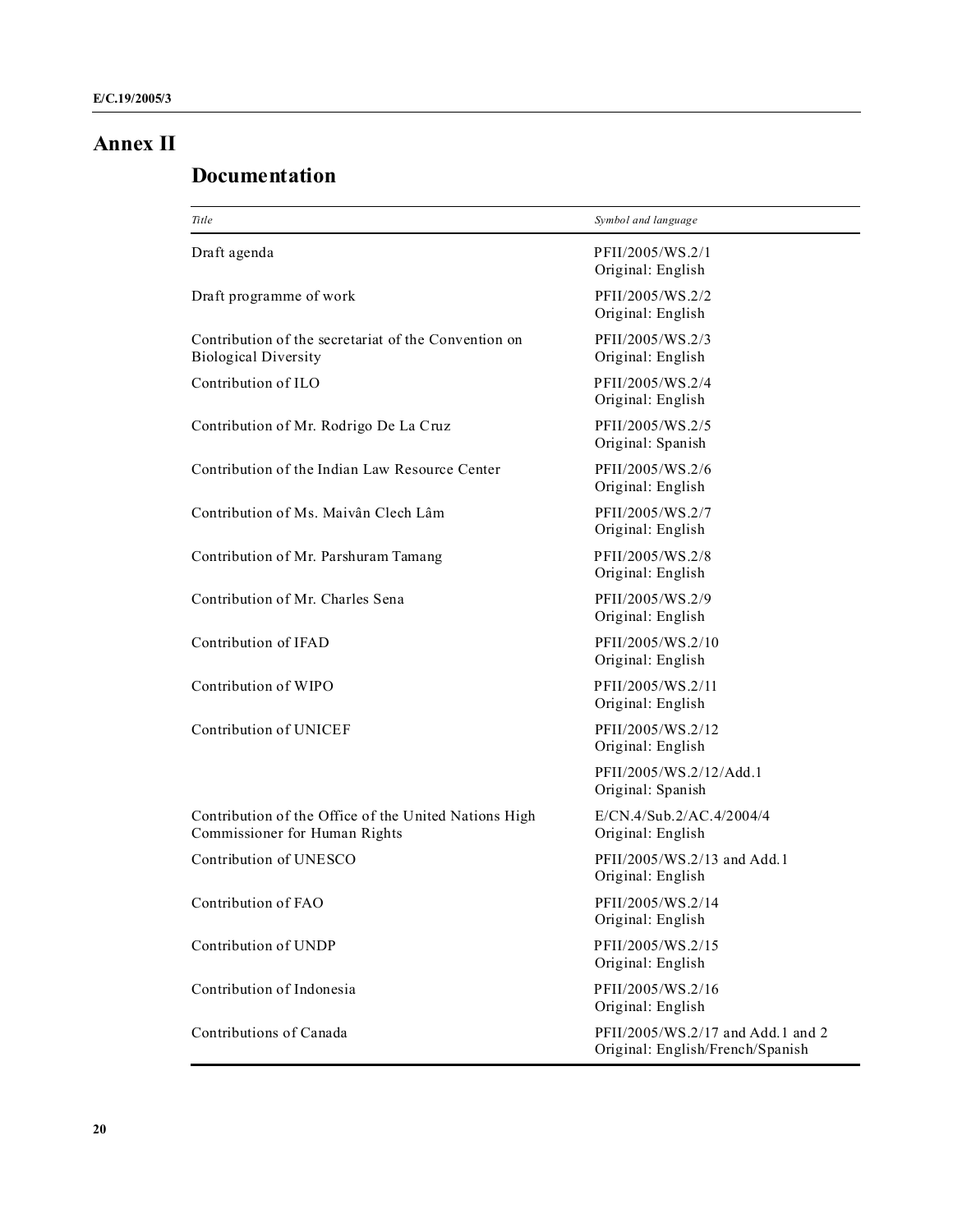## **Annex II**

# **Documentation**

| Title                                                                                  | Symbol and language                                                   |  |
|----------------------------------------------------------------------------------------|-----------------------------------------------------------------------|--|
| Draft agenda                                                                           | PFII/2005/WS.2/1<br>Original: English                                 |  |
| Draft programme of work                                                                | PFII/2005/WS.2/2<br>Original: English                                 |  |
| Contribution of the secretariat of the Convention on<br><b>Biological Diversity</b>    | PFII/2005/WS.2/3<br>Original: English                                 |  |
| Contribution of ILO                                                                    | PFII/2005/WS.2/4<br>Original: English                                 |  |
| Contribution of Mr. Rodrigo De La Cruz                                                 | PFII/2005/WS.2/5<br>Original: Spanish                                 |  |
| Contribution of the Indian Law Resource Center                                         | PFII/2005/WS.2/6<br>Original: English                                 |  |
| Contribution of Ms. Maivân Clech Lâm                                                   | PFII/2005/WS.2/7<br>Original: English                                 |  |
| Contribution of Mr. Parshuram Tamang                                                   | PFII/2005/WS.2/8<br>Original: English                                 |  |
| Contribution of Mr. Charles Sena                                                       | PFII/2005/WS.2/9<br>Original: English                                 |  |
| Contribution of IFAD                                                                   | PFII/2005/WS.2/10<br>Original: English                                |  |
| Contribution of WIPO                                                                   | PFII/2005/WS.2/11<br>Original: English                                |  |
| Contribution of UNICEF                                                                 | PFII/2005/WS.2/12<br>Original: English                                |  |
|                                                                                        | PFII/2005/WS.2/12/Add.1<br>Original: Spanish                          |  |
| Contribution of the Office of the United Nations High<br>Commissioner for Human Rights | E/CN.4/Sub.2/AC.4/2004/4<br>Original: English                         |  |
| Contribution of UNESCO                                                                 | PFII/2005/WS.2/13 and Add.1<br>Original: English                      |  |
| Contribution of FAO                                                                    | PFII/2005/WS.2/14<br>Original: English                                |  |
| Contribution of UNDP                                                                   | PFII/2005/WS.2/15<br>Original: English                                |  |
| Contribution of Indonesia                                                              | PFII/2005/WS.2/16<br>Original: English                                |  |
| Contributions of Canada                                                                | PFII/2005/WS.2/17 and Add.1 and 2<br>Original: English/French/Spanish |  |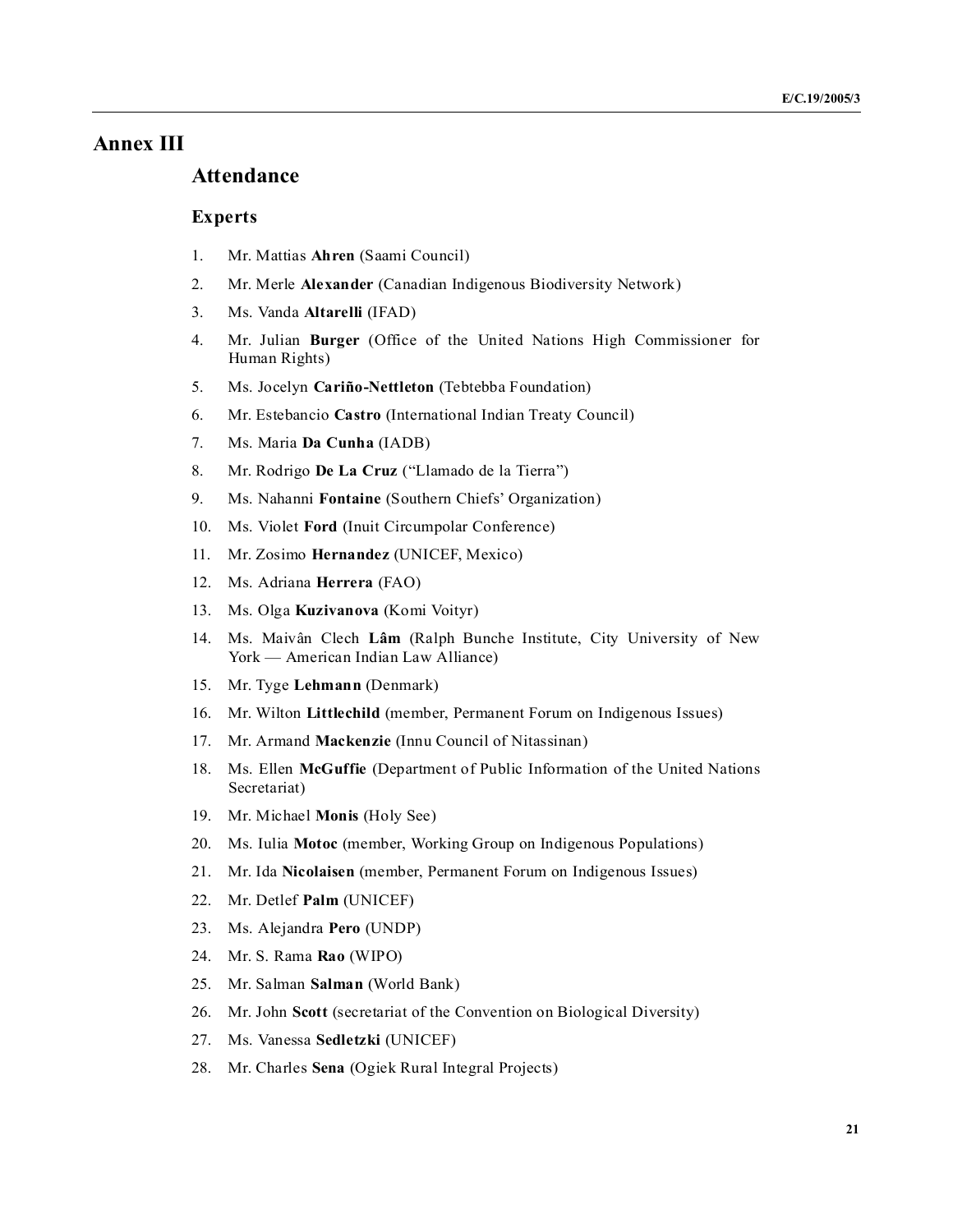## **Annex III**

## **Attendance**

## **Experts**

- 1. Mr. Mattias **Ahren** (Saami Council)
- 2. Mr. Merle **Alexander** (Canadian Indigenous Biodiversity Network)
- 3. Ms. Vanda **Altarelli** (IFAD)
- 4. Mr. Julian **Burger** (Office of the United Nations High Commissioner for Human Rights)
- 5. Ms. Jocelyn Cariño-Nettleton (Tebtebba Foundation)
- 6. Mr. Estebancio **Castro** (International Indian Treaty Council)
- 7. Ms. Maria **Da Cunha** (IADB)
- 8. Mr. Rodrigo **De La Cruz** ("Llamado de la Tierra")
- 9. Ms. Nahanni **Fontaine** (Southern Chiefs' Organization)
- 10. Ms. Violet **Ford** (Inuit Circumpolar Conference)
- 11. Mr. Zosimo **Hernandez** (UNICEF, Mexico)
- 12. Ms. Adriana **Herrera** (FAO)
- 13. Ms. Olga **Kuzivanova** (Komi Voityr)
- 14. Ms. Maivân Clech **Lâm** (Ralph Bunche Institute, City University of New York — American Indian Law Alliance)
- 15. Mr. Tyge **Lehmann** (Denmark)
- 16. Mr. Wilton **Littlechild** (member, Permanent Forum on Indigenous Issues)
- 17. Mr. Armand **Mackenzie** (Innu Council of Nitassinan)
- 18. Ms. Ellen **McGuffie** (Department of Public Information of the United Nations Secretariat)
- 19. Mr. Michael **Monis** (Holy See)
- 20. Ms. Iulia **Motoc** (member, Working Group on Indigenous Populations)
- 21. Mr. Ida  **icolaisen** (member, Permanent Forum on Indigenous Issues)
- 22. Mr. Detlef **Palm** (UNICEF)
- 23. Ms. Alejandra **Pero** (UNDP)
- 24. Mr. S. Rama **Rao** (WIPO)
- 25. Mr. Salman **Salman** (World Bank)
- 26. Mr. John **Scott** (secretariat of the Convention on Biological Diversity)
- 27. Ms. Vanessa **Sedletzki** (UNICEF)
- 28. Mr. Charles **Sena** (Ogiek Rural Integral Projects)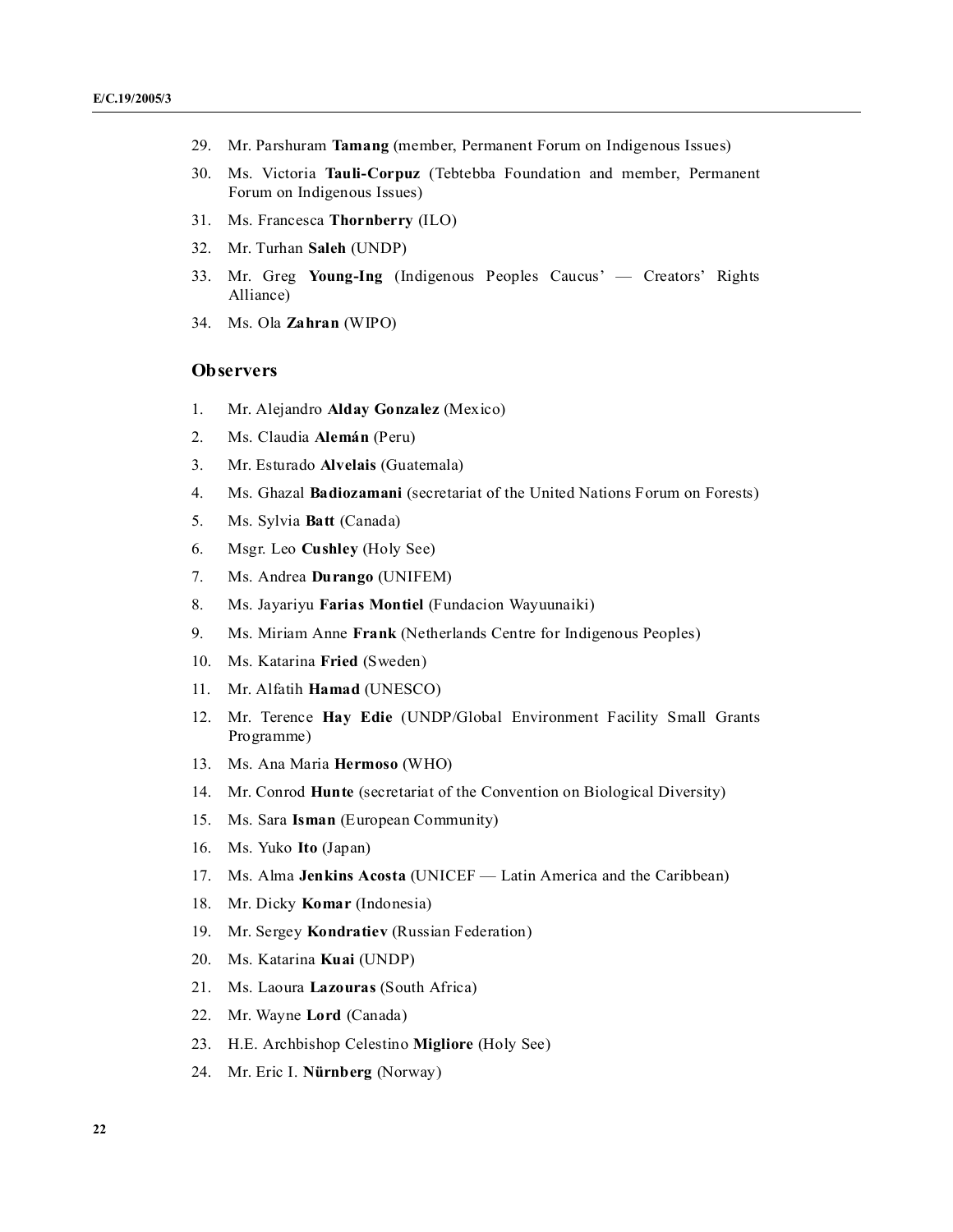- 29. Mr. Parshuram **Tamang** (member, Permanent Forum on Indigenous Issues)
- 30. Ms. Victoria **Tauli-Corpuz** (Tebtebba Foundation and member, Permanent Forum on Indigenous Issues)
- 31. Ms. Francesca **Thornberry** (ILO)
- 32. Mr. Turhan **Saleh** (UNDP)
- 33. Mr. Greg **Young-Ing** (Indigenous Peoples Caucus' Creators' Rights Alliance)
- 34. Ms. Ola **Zahran** (WIPO)

#### **Observers**

- 1. Mr. Alejandro **Alday Gonzalez** (Mexico)
- 2. Ms. Claudia **Alemán** (Peru)
- 3. Mr. Esturado **Alvelais** (Guatemala)
- 4. Ms. Ghazal **Badiozamani** (secretariat of the United Nations Forum on Forests)
- 5. Ms. Sylvia **Batt** (Canada)
- 6. Msgr. Leo **Cushley** (Holy See)
- 7. Ms. Andrea **Durango** (UNIFEM)
- 8. Ms. Jayariyu **Farias Montiel** (Fundacion Wayuunaiki)
- 9. Ms. Miriam Anne **Frank** (Netherlands Centre for Indigenous Peoples)
- 10. Ms. Katarina **Fried** (Sweden)
- 11. Mr. Alfatih **Hamad** (UNESCO)
- 12. Mr. Terence **Hay Edie** (UNDP/Global Environment Facility Small Grants Programme)
- 13. Ms. Ana Maria **Hermoso** (WHO)
- 14. Mr. Conrod **Hunte** (secretariat of the Convention on Biological Diversity)
- 15. Ms. Sara **Isman** (European Community)
- 16. Ms. Yuko **Ito** (Japan)
- 17. Ms. Alma **Jenkins Acosta** (UNICEF Latin America and the Caribbean)
- 18. Mr. Dicky **Komar** (Indonesia)
- 19. Mr. Sergey **Kondratiev** (Russian Federation)
- 20. Ms. Katarina **Kuai** (UNDP)
- 21. Ms. Laoura **Lazouras** (South Africa)
- 22. Mr. Wayne **Lord** (Canada)
- 23. H.E. Archbishop Celestino **Migliore** (Holy See)
- 24. Mr. Eric I.  **ürnberg** (Norway)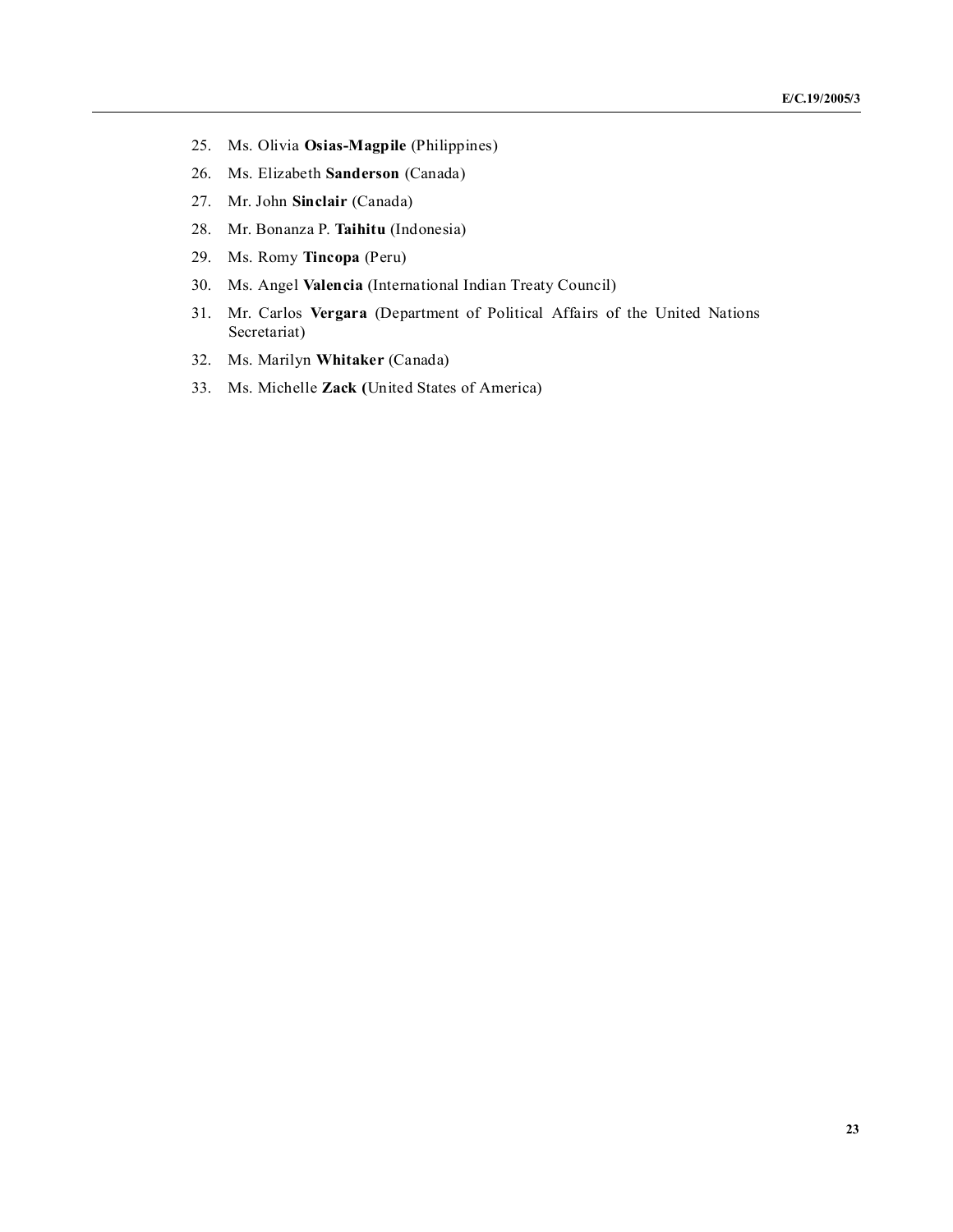- 25. Ms. Olivia **Osias-Magpile** (Philippines)
- 26. Ms. Elizabeth **Sanderson** (Canada)
- 27. Mr. John **Sinclair** (Canada)
- 28. Mr. Bonanza P. **Taihitu** (Indonesia)
- 29. Ms. Romy **Tincopa** (Peru)
- 30. Ms. Angel **Valencia** (International Indian Treaty Council)
- 31. Mr. Carlos **Vergara** (Department of Political Affairs of the United Nations Secretariat)
- 32. Ms. Marilyn **Whitaker** (Canada)
- 33. Ms. Michelle **Zack (**United States of America)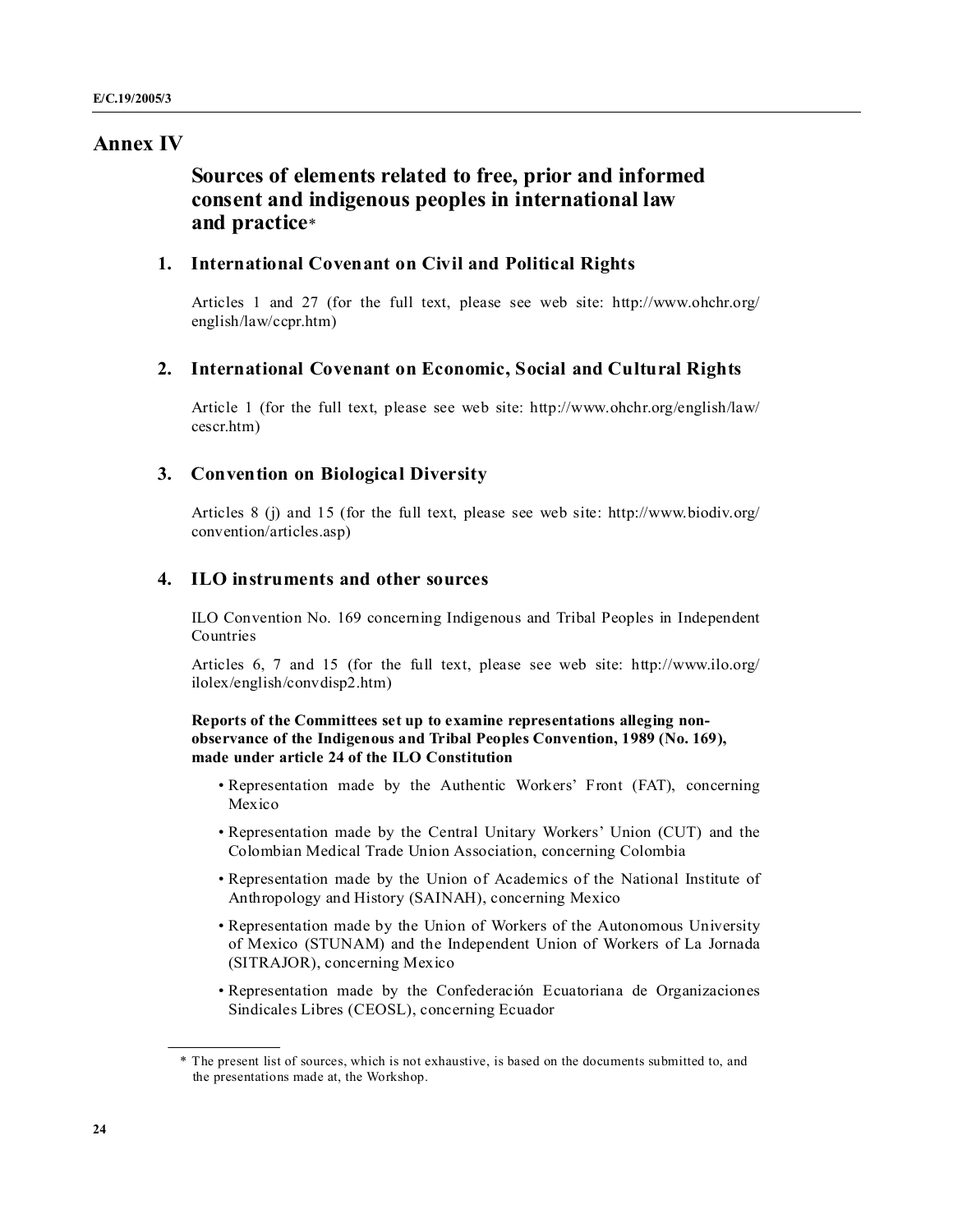## **Annex IV**

## **Sources of elements related to free, prior and informed consent and indigenous peoples in international law and practice**\*

#### **1. International Covenant on Civil and Political Rights**

Articles 1 and 27 (for the full text, please see web site: http://www.ohchr.org/ english/law/ccpr.htm)

#### **2. International Covenant on Economic, Social and Cultural Rights**

Article 1 (for the full text, please see web site: http://www.ohchr.org/english/law/ cescr.htm)

## **3. Convention on Biological Diversity**

Articles 8 (j) and 15 (for the full text, please see web site: http://www.biodiv.org/ convention/articles.asp)

#### **4. ILO instruments and other sources**

ILO Convention No. 169 concerning Indigenous and Tribal Peoples in Independent Countries

Articles 6, 7 and 15 (for the full text, please see web site: http://www.ilo.org/ ilolex/english/convdisp2.htm)

#### **Reports of the Committees set up to examine representations alleging nonobservance of the Indigenous and Tribal Peoples Convention, 1989 ( o. 169), made under article 24 of the ILO Constitution**

- Representation made by the Authentic Workers' Front (FAT), concerning Mexico
- Representation made by the Central Unitary Workers' Union (CUT) and the Colombian Medical Trade Union Association, concerning Colombia
- Representation made by the Union of Academics of the National Institute of Anthropology and History (SAINAH), concerning Mexico
- Representation made by the Union of Workers of the Autonomous University of Mexico (STUNAM) and the Independent Union of Workers of La Jornada (SITRAJOR), concerning Mexico
- Representation made by the Confederación Ecuatoriana de Organizaciones Sindicales Libres (CEOSL), concerning Ecuador

<sup>\*</sup> The present list of sources, which is not exhaustive, is based on the documents submitted to, and the presentations made at, the Workshop.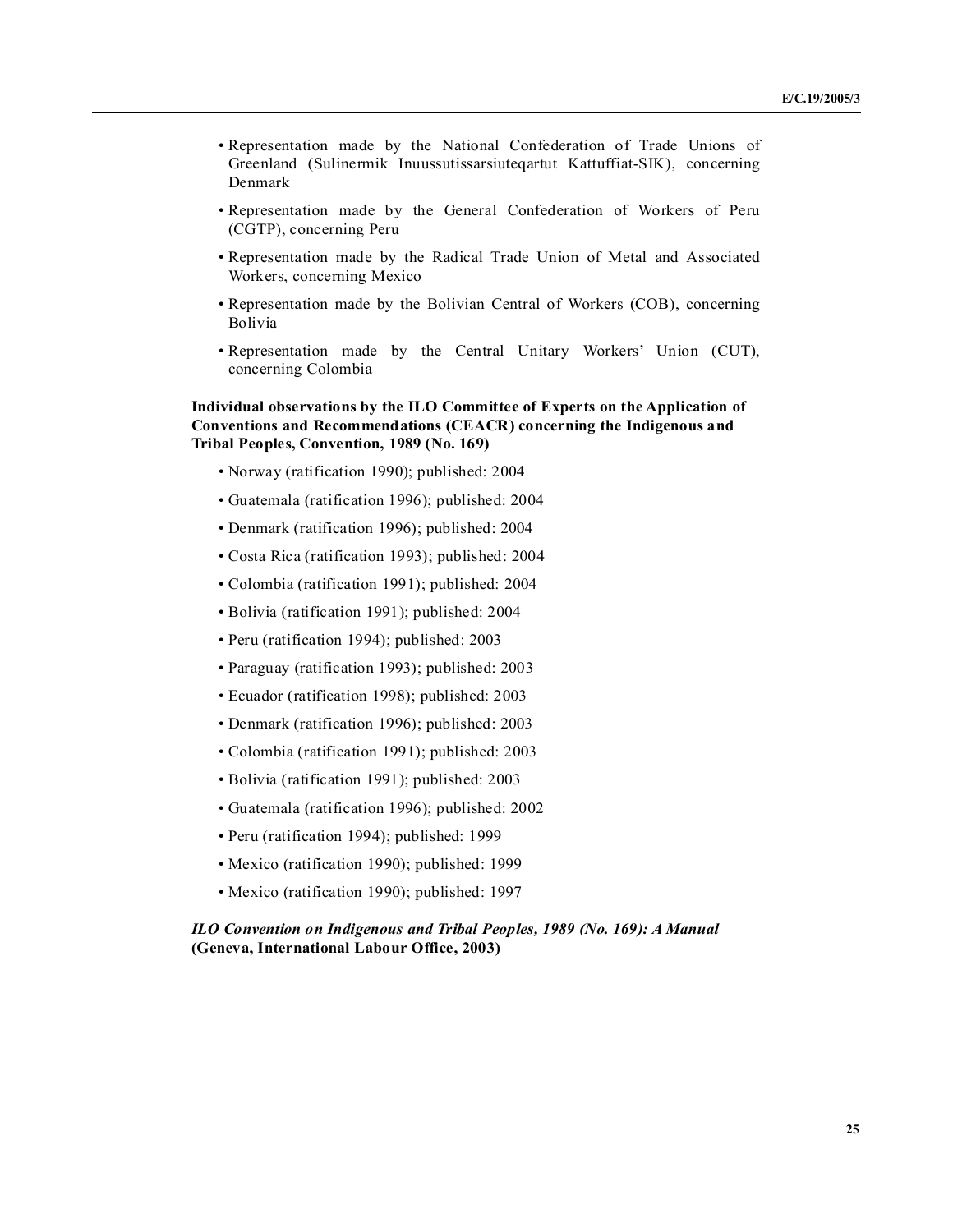- Representation made by the National Confederation of Trade Unions of Greenland (Sulinermik Inuussutissarsiuteqartut Kattuffiat-SIK), concerning Denmark
- Representation made by the General Confederation of Workers of Peru (CGTP), concerning Peru
- Representation made by the Radical Trade Union of Metal and Associated Workers, concerning Mexico
- Representation made by the Bolivian Central of Workers (COB), concerning Bolivia
- Representation made by the Central Unitary Workers' Union (CUT), concerning Colombia

#### **Individual observations by the ILO Committee of Experts on the Application of Conventions and Recommendations (CEACR) concerning the Indigenous and Tribal Peoples, Convention, 1989 ( o. 169)**

- Norway (ratification 1990); published: 2004
- Guatemala (ratification 1996); published: 2004
- Denmark (ratification 1996); published: 2004
- Costa Rica (ratification 1993); published: 2004
- Colombia (ratification 1991); published: 2004
- Bolivia (ratification 1991); published: 2004
- Peru (ratification 1994); published: 2003
- Paraguay (ratification 1993); published: 2003
- Ecuador (ratification 1998); published: 2003
- Denmark (ratification 1996); published: 2003
- Colombia (ratification 1991); published: 2003
- Bolivia (ratification 1991); published: 2003
- Guatemala (ratification 1996); published: 2002
- Peru (ratification 1994); published: 1999
- Mexico (ratification 1990); published: 1999
- Mexico (ratification 1990); published: 1997

#### *ILO Convention on Indigenous and Tribal Peoples, 1989 (No. 169): A Manual* **(Geneva, International Labour Office, 2003)**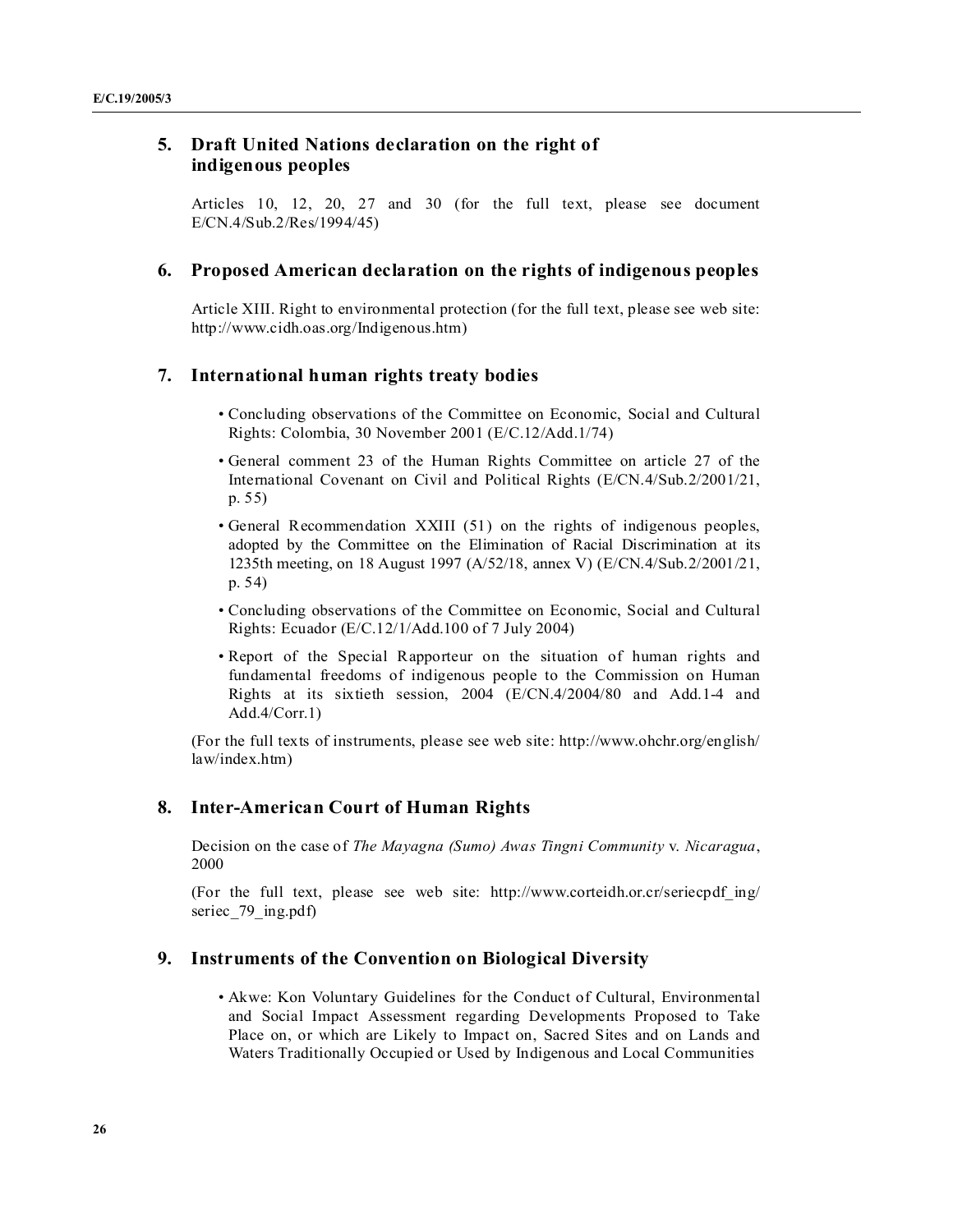## **5. Draft United Nations declaration on the right of indigenous peoples**

Articles 10, 12, 20, 27 and 30 (for the full text, please see document E/CN.4/Sub.2/Res/1994/45)

#### **6. Proposed American declaration on the rights of indigenous peoples**

Article XIII. Right to environmental protection (for the full text, please see web site: http://www.cidh.oas.org/Indigenous.htm)

## **7. International human rights treaty bodies**

- Concluding observations of the Committee on Economic, Social and Cultural Rights: Colombia, 30 November 2001 (E/C.12/Add.1/74)
- General comment 23 of the Human Rights Committee on article 27 of the International Covenant on Civil and Political Rights (E/CN.4/Sub.2/2001/21, p. 55)
- General Recommendation XXIII (51) on the rights of indigenous peoples, adopted by the Committee on the Elimination of Racial Discrimination at its 1235th meeting, on 18 August 1997 (A/52/18, annex V) (E/CN.4/Sub.2/2001/21, p. 54)
- Concluding observations of the Committee on Economic, Social and Cultural Rights: Ecuador (E/C.12/1/Add.100 of 7 July 2004)
- Report of the Special Rapporteur on the situation of human rights and fundamental freedoms of indigenous people to the Commission on Human Rights at its sixtieth session, 2004 (E/CN.4/2004/80 and Add.1-4 and Add.4/Corr.1)

(For the full texts of instruments, please see web site: http://www.ohchr.org/english/ law/index.htm)

### **8. Inter-American Court of Human Rights**

Decision on the case of *The Mayagna (Sumo) Awas Tingni Community v. Nicaragua*, 2000

(For the full text, please see web site: http://www.corteidh.or.cr/seriecpdf\_ing/ seriec 79 ing.pdf)

## **9. Instruments of the Convention on Biological Diversity**

• Akwe: Kon Voluntary Guidelines for the Conduct of Cultural, Environmental and Social Impact Assessment regarding Developments Proposed to Take Place on, or which are Likely to Impact on, Sacred Sites and on Lands and Waters Traditionally Occupied or Used by Indigenous and Local Communities